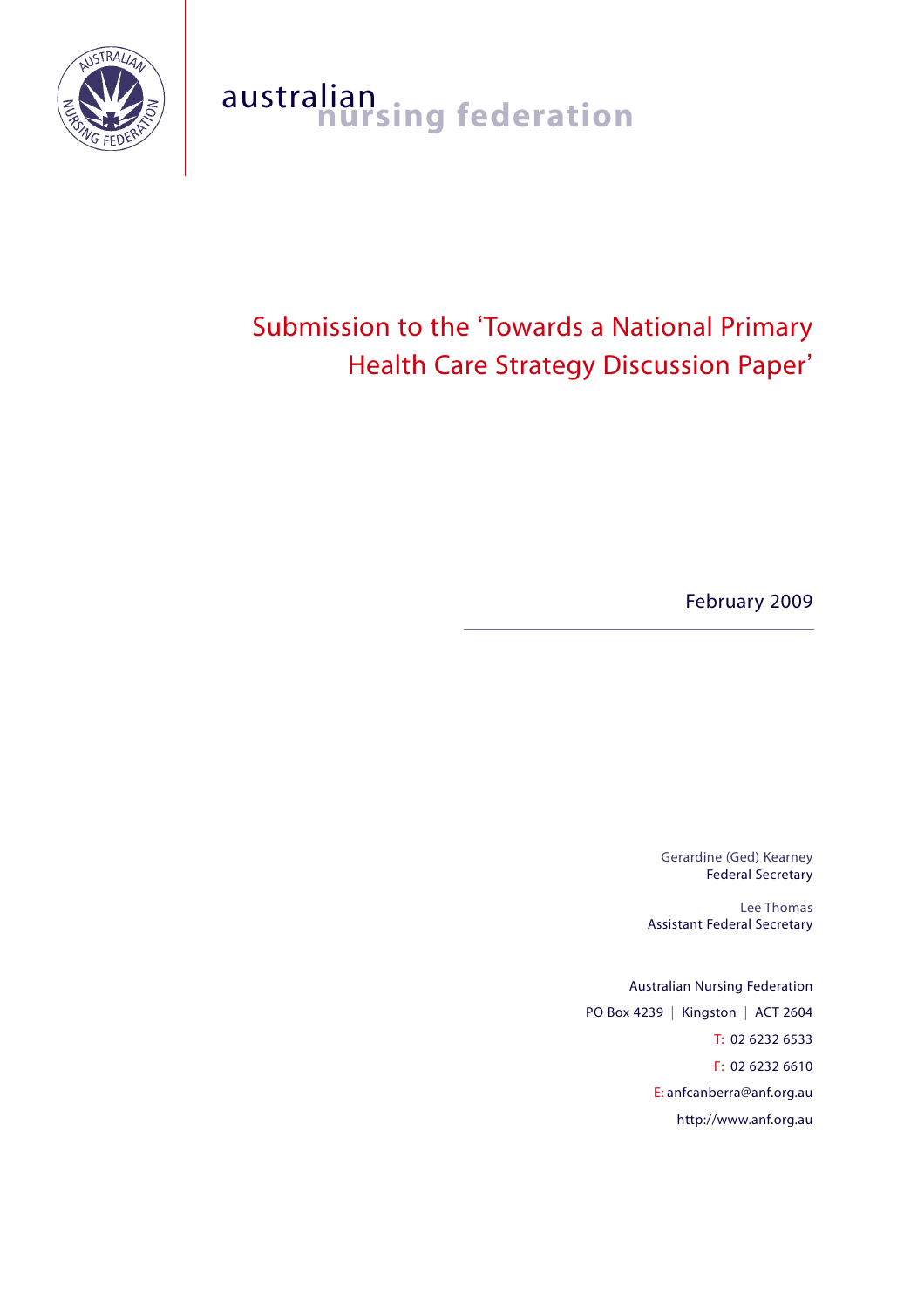

# australian<br>**nursing federation**

# Submission to the 'Towards a National Primary Health Care Strategy Discussion Paper'

February 2009

Gerardine (Ged) Kearney Federal Secretary

Lee Thomas Assistant Federal Secretary

Australian Nursing Federation PO Box 4239 | Kingston | ACT 2604 T: 02 6232 6533 F: 02 6232 6610 E: anfcanberra@anf.org.au http://www.anf.org.au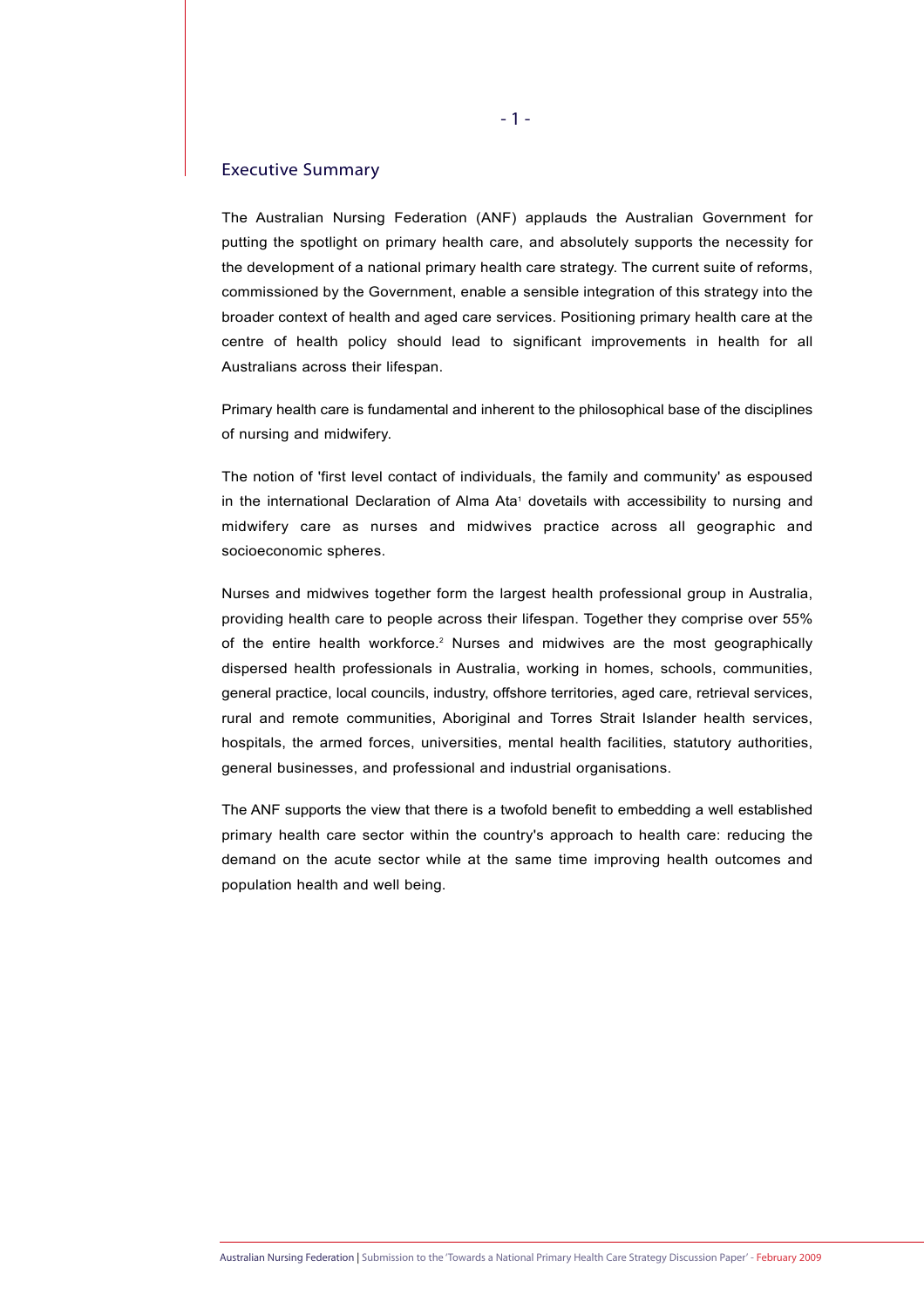# Executive Summary

The Australian Nursing Federation (ANF) applauds the Australian Government for putting the spotlight on primary health care, and absolutely supports the necessity for the development of a national primary health care strategy. The current suite of reforms, commissioned by the Government, enable a sensible integration of this strategy into the broader context of health and aged care services. Positioning primary health care at the centre of health policy should lead to significant improvements in health for all Australians across their lifespan.

Primary health care is fundamental and inherent to the philosophical base of the disciplines of nursing and midwifery.

The notion of 'first level contact of individuals, the family and community' as espoused in the international Declaration of Alma Ata<sup>1</sup> dovetails with accessibility to nursing and midwifery care as nurses and midwives practice across all geographic and socioeconomic spheres.

Nurses and midwives together form the largest health professional group in Australia, providing health care to people across their lifespan. Together they comprise over 55% of the entire health workforce.<sup>2</sup> Nurses and midwives are the most geographically dispersed health professionals in Australia, working in homes, schools, communities, general practice, local councils, industry, offshore territories, aged care, retrieval services, rural and remote communities, Aboriginal and Torres Strait Islander health services, hospitals, the armed forces, universities, mental health facilities, statutory authorities, general businesses, and professional and industrial organisations.

The ANF supports the view that there is a twofold benefit to embedding a well established primary health care sector within the country's approach to health care: reducing the demand on the acute sector while at the same time improving health outcomes and population health and well being.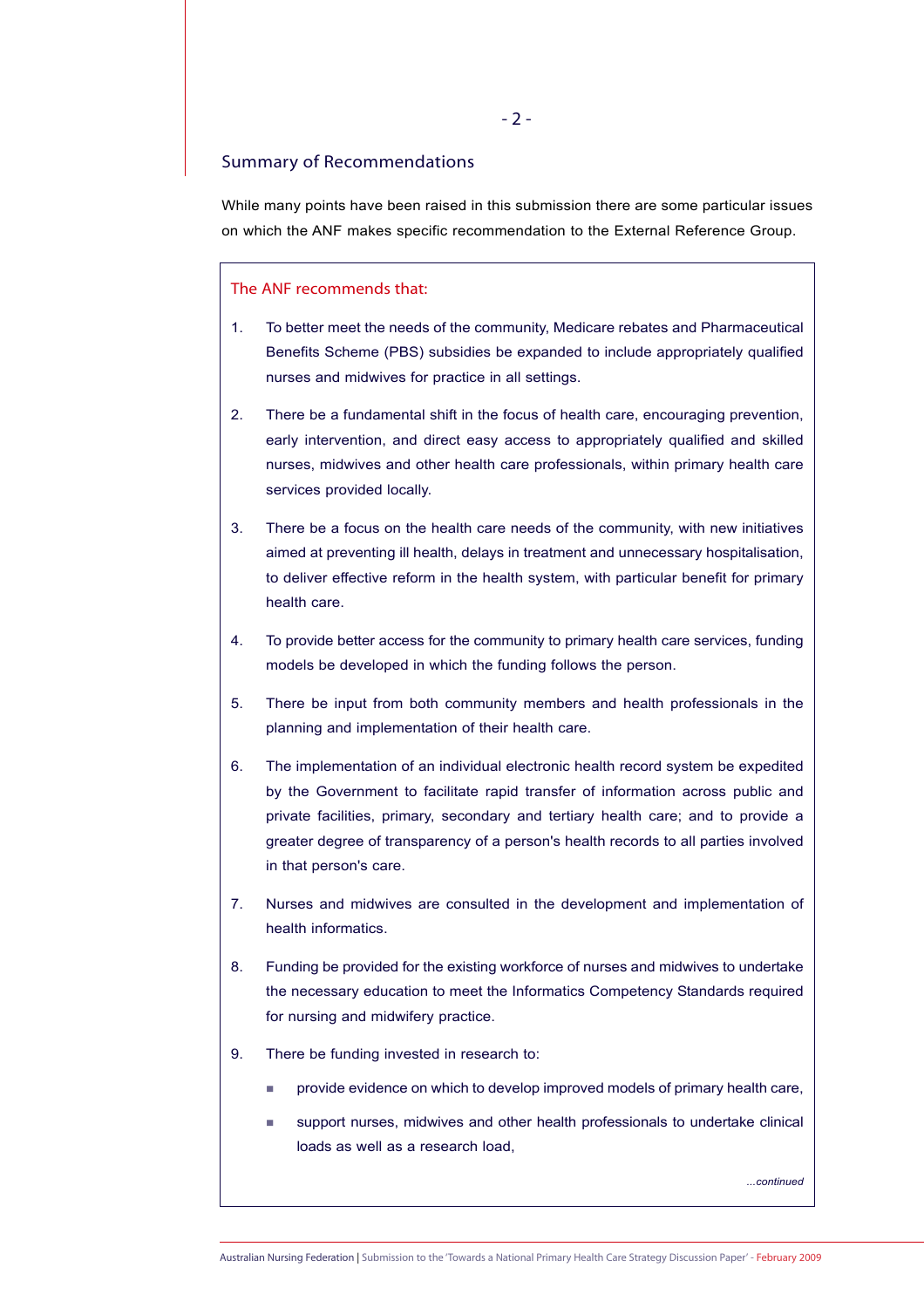# Summary of Recommendations

While many points have been raised in this submission there are some particular issues on which the ANF makes specific recommendation to the External Reference Group.

# The ANF recommends that:

- 1. To better meet the needs of the community, Medicare rebates and Pharmaceutical Benefits Scheme (PBS) subsidies be expanded to include appropriately qualified nurses and midwives for practice in all settings.
- 2. There be a fundamental shift in the focus of health care, encouraging prevention, early intervention, and direct easy access to appropriately qualified and skilled nurses, midwives and other health care professionals, within primary health care services provided locally.
- 3. There be a focus on the health care needs of the community, with new initiatives aimed at preventing ill health, delays in treatment and unnecessary hospitalisation, to deliver effective reform in the health system, with particular benefit for primary health care.
- 4. To provide better access for the community to primary health care services, funding models be developed in which the funding follows the person.
- 5. There be input from both community members and health professionals in the planning and implementation of their health care.
- 6. The implementation of an individual electronic health record system be expedited by the Government to facilitate rapid transfer of information across public and private facilities, primary, secondary and tertiary health care; and to provide a greater degree of transparency of a person's health records to all parties involved in that person's care.
- 7. Nurses and midwives are consulted in the development and implementation of health informatics.
- 8. Funding be provided for the existing workforce of nurses and midwives to undertake the necessary education to meet the Informatics Competency Standards required for nursing and midwifery practice.
- 9. There be funding invested in research to:
	- provide evidence on which to develop improved models of primary health care,
	- support nurses, midwives and other health professionals to undertake clinical loads as well as a research load,

*...continued*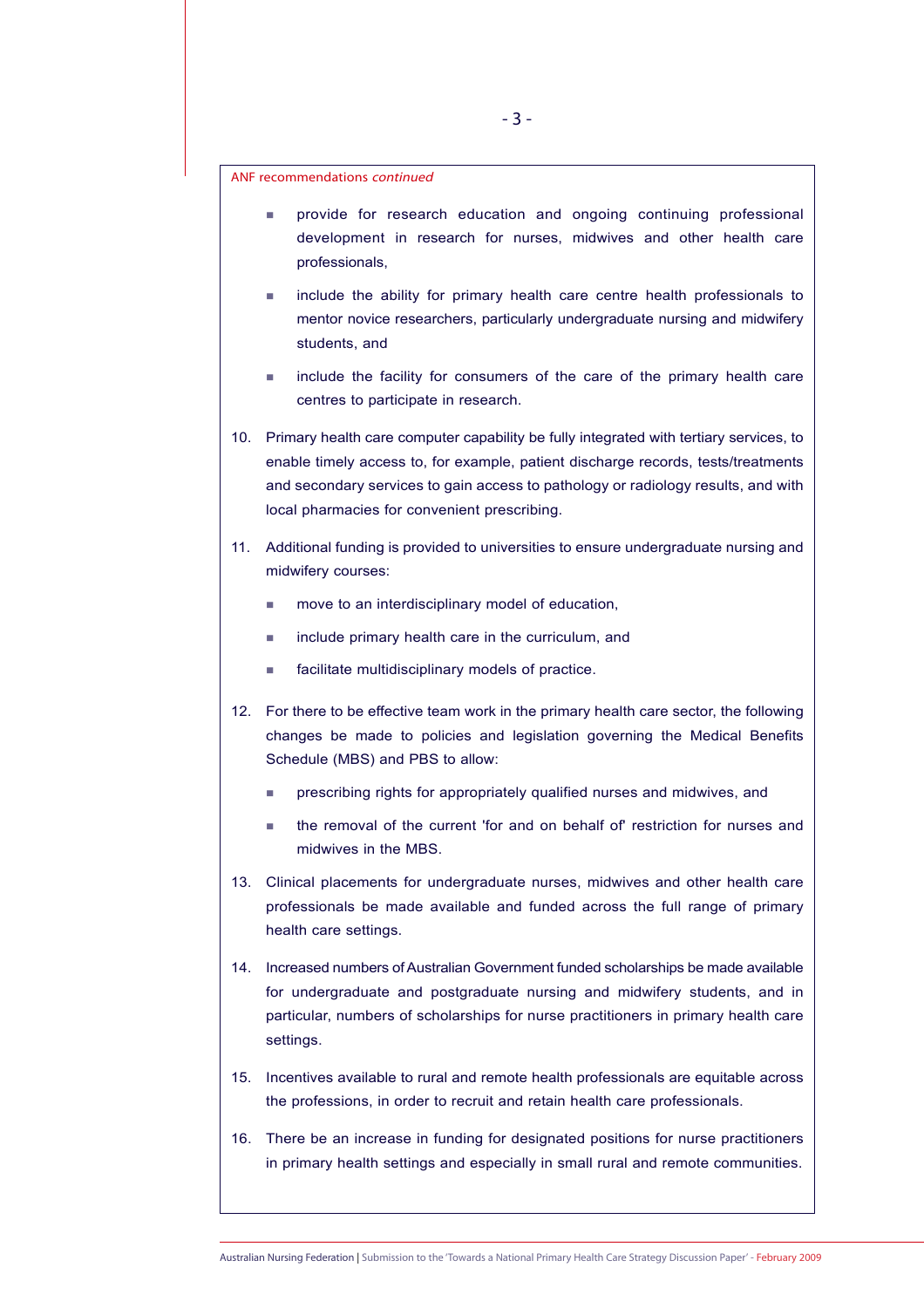ANF recommendations continued

- provide for research education and ongoing continuing professional development in research for nurses, midwives and other health care professionals,
- include the ability for primary health care centre health professionals to mentor novice researchers, particularly undergraduate nursing and midwifery students, and
- include the facility for consumers of the care of the primary health care centres to participate in research.
- 10. Primary health care computer capability be fully integrated with tertiary services, to enable timely access to, for example, patient discharge records, tests/treatments and secondary services to gain access to pathology or radiology results, and with local pharmacies for convenient prescribing.
- 11. Additional funding is provided to universities to ensure undergraduate nursing and midwifery courses:
	- move to an interdisciplinary model of education,
	- include primary health care in the curriculum, and
	- facilitate multidisciplinary models of practice.
- 12. For there to be effective team work in the primary health care sector, the following changes be made to policies and legislation governing the Medical Benefits Schedule (MBS) and PBS to allow:
	- prescribing rights for appropriately qualified nurses and midwives, and
	- the removal of the current 'for and on behalf of' restriction for nurses and midwives in the MBS.
- 13. Clinical placements for undergraduate nurses, midwives and other health care professionals be made available and funded across the full range of primary health care settings.
- 14. Increased numbers of Australian Government funded scholarships be made available for undergraduate and postgraduate nursing and midwifery students, and in particular, numbers of scholarships for nurse practitioners in primary health care settings.
- 15. Incentives available to rural and remote health professionals are equitable across the professions, in order to recruit and retain health care professionals.
- 16. There be an increase in funding for designated positions for nurse practitioners in primary health settings and especially in small rural and remote communities.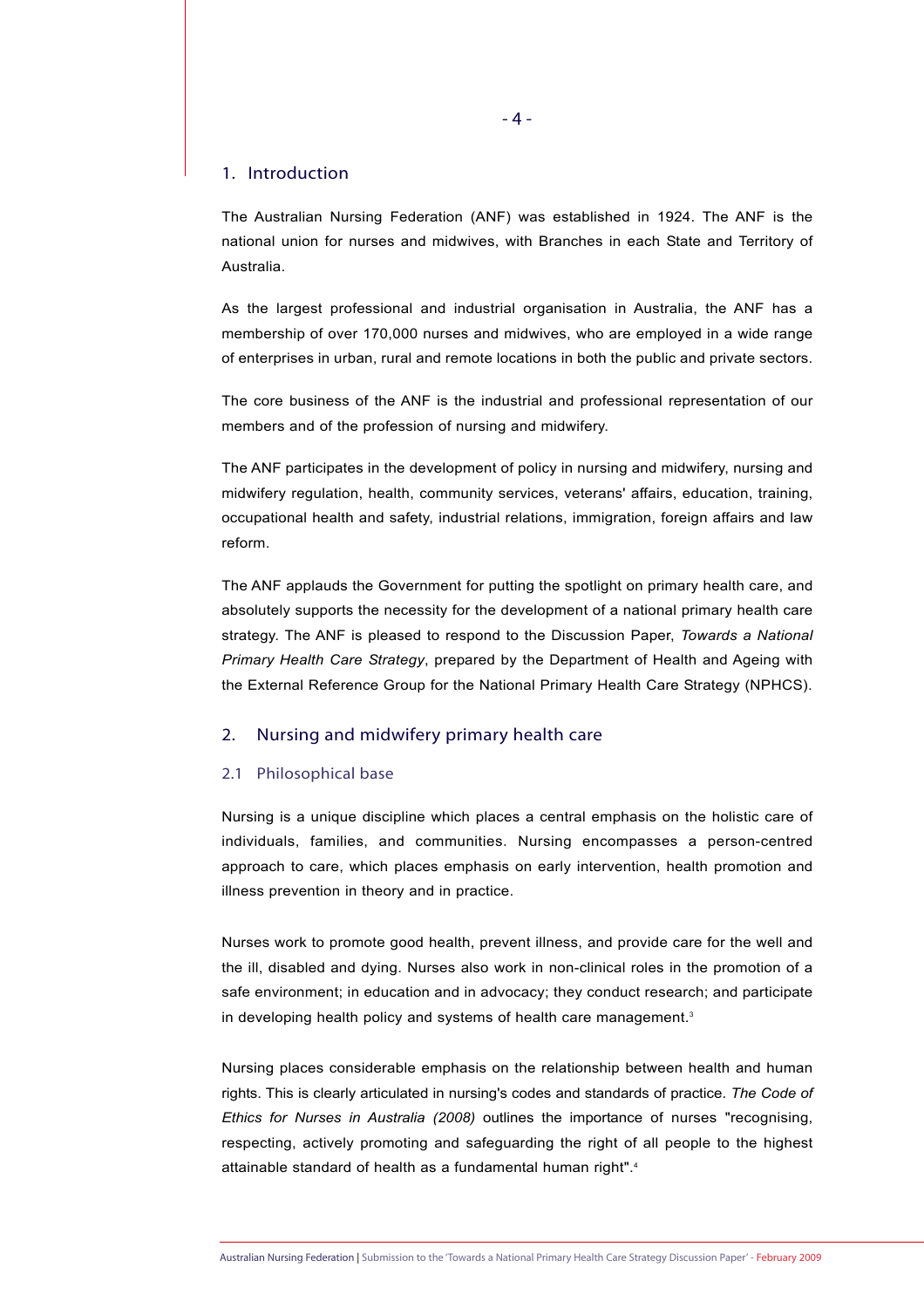# 1. Introduction

The Australian Nursing Federation (ANF) was established in 1924. The ANF is the national union for nurses and midwives, with Branches in each State and Territory of Australia.

As the largest professional and industrial organisation in Australia, the ANF has a membership of over 170,000 nurses and midwives, who are employed in a wide range of enterprises in urban, rural and remote locations in both the public and private sectors.

The core business of the ANF is the industrial and professional representation of our members and of the profession of nursing and midwifery.

The ANF participates in the development of policy in nursing and midwifery, nursing and midwifery regulation, health, community services, veterans' affairs, education, training, occupational health and safety, industrial relations, immigration, foreign affairs and law reform.

The ANF applauds the Government for putting the spotlight on primary health care, and absolutely supports the necessity for the development of a national primary health care strategy. The ANF is pleased to respond to the Discussion Paper, *Towards a National Primary Health Care Strategy*, prepared by the Department of Health and Ageing with the External Reference Group for the National Primary Health Care Strategy (NPHCS).

# 2. Nursing and midwifery primary health care

# 2.1 Philosophical base

Nursing is a unique discipline which places a central emphasis on the holistic care of individuals, families, and communities. Nursing encompasses a person-centred approach to care, which places emphasis on early intervention, health promotion and illness prevention in theory and in practice.

Nurses work to promote good health, prevent illness, and provide care for the well and the ill, disabled and dying. Nurses also work in non-clinical roles in the promotion of a safe environment; in education and in advocacy; they conduct research; and participate in developing health policy and systems of health care management.<sup>3</sup>

Nursing places considerable emphasis on the relationship between health and human rights. This is clearly articulated in nursing's codes and standards of practice. *The Code of Ethics for Nurses in Australia (2008)* outlines the importance of nurses "recognising, respecting, actively promoting and safeguarding the right of all people to the highest attainable standard of health as a fundamental human right".<sup>4</sup>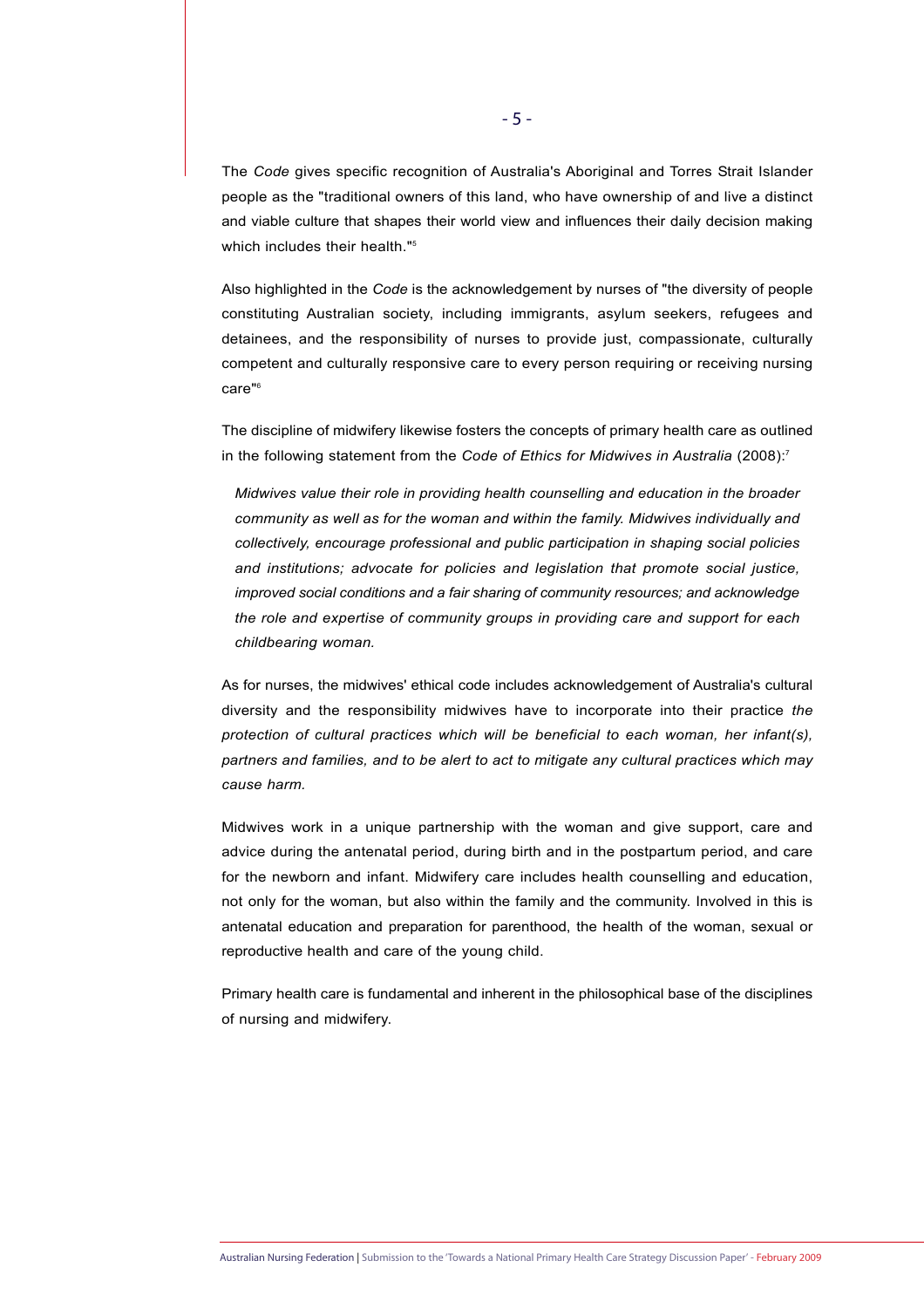The *Code* gives specific recognition of Australia's Aboriginal and Torres Strait Islander people as the "traditional owners of this land, who have ownership of and live a distinct and viable culture that shapes their world view and influences their daily decision making which includes their health."<sup>5</sup>

Also highlighted in the *Code* is the acknowledgement by nurses of "the diversity of people constituting Australian society, including immigrants, asylum seekers, refugees and detainees, and the responsibility of nurses to provide just, compassionate, culturally competent and culturally responsive care to every person requiring or receiving nursing care"6

The discipline of midwifery likewise fosters the concepts of primary health care as outlined in the following statement from the *Code of Ethics for Midwives in Australia* (2008):<sup>7</sup>

*Midwives value their role in providing health counselling and education in the broader community as well as for the woman and within the family. Midwives individually and collectively, encourage professional and public participation in shaping social policies and institutions; advocate for policies and legislation that promote social justice, improved social conditions and a fair sharing of community resources; and acknowledge the role and expertise of community groups in providing care and support for each childbearing woman.* 

As for nurses, the midwives' ethical code includes acknowledgement of Australia's cultural diversity and the responsibility midwives have to incorporate into their practice *the protection of cultural practices which will be beneficial to each woman, her infant(s), partners and families, and to be alert to act to mitigate any cultural practices which may cause harm.*

Midwives work in a unique partnership with the woman and give support, care and advice during the antenatal period, during birth and in the postpartum period, and care for the newborn and infant. Midwifery care includes health counselling and education, not only for the woman, but also within the family and the community. Involved in this is antenatal education and preparation for parenthood, the health of the woman, sexual or reproductive health and care of the young child.

Primary health care is fundamental and inherent in the philosophical base of the disciplines of nursing and midwifery.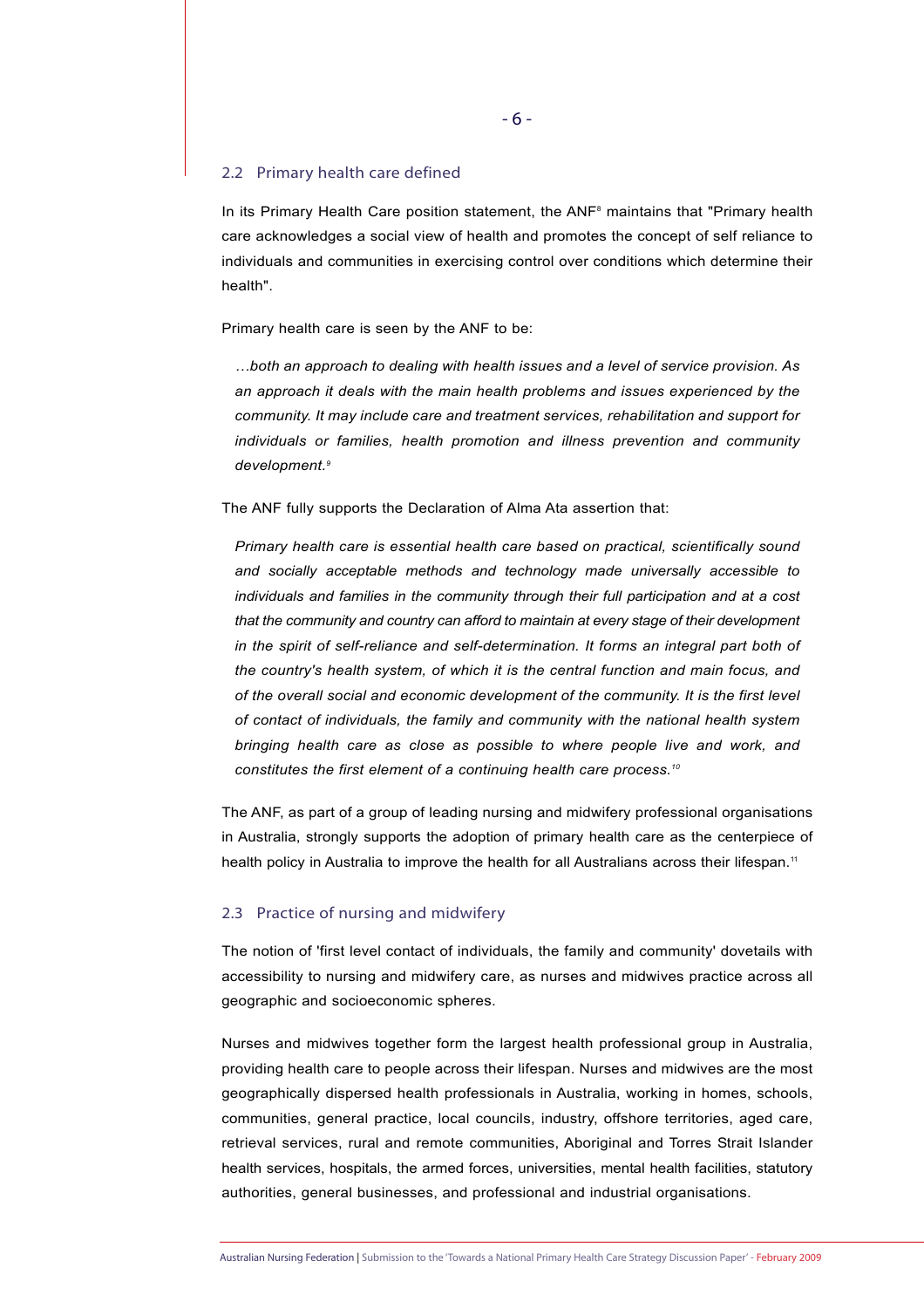#### 2.2 Primary health care defined

In its Primary Health Care position statement, the ANF<sup>8</sup> maintains that "Primary health care acknowledges a social view of health and promotes the concept of self reliance to individuals and communities in exercising control over conditions which determine their health".

Primary health care is seen by the ANF to be:

*…both an approach to dealing with health issues and a level of service provision. As an approach it deals with the main health problems and issues experienced by the community. It may include care and treatment services, rehabilitation and support for individuals or families, health promotion and illness prevention and community development.9*

The ANF fully supports the Declaration of Alma Ata assertion that:

*Primary health care is essential health care based on practical, scientifically sound and socially acceptable methods and technology made universally accessible to individuals and families in the community through their full participation and at a cost that the community and country can afford to maintain at every stage of their development in the spirit of self-reliance and self-determination. It forms an integral part both of the country's health system, of which it is the central function and main focus, and of the overall social and economic development of the community. It is the first level of contact of individuals, the family and community with the national health system bringing health care as close as possible to where people live and work, and constitutes the first element of a continuing health care process.10* 

The ANF, as part of a group of leading nursing and midwifery professional organisations in Australia, strongly supports the adoption of primary health care as the centerpiece of health policy in Australia to improve the health for all Australians across their lifespan.<sup>11</sup>

# 2.3 Practice of nursing and midwifery

The notion of 'first level contact of individuals, the family and community' dovetails with accessibility to nursing and midwifery care, as nurses and midwives practice across all geographic and socioeconomic spheres.

Nurses and midwives together form the largest health professional group in Australia, providing health care to people across their lifespan. Nurses and midwives are the most geographically dispersed health professionals in Australia, working in homes, schools, communities, general practice, local councils, industry, offshore territories, aged care, retrieval services, rural and remote communities, Aboriginal and Torres Strait Islander health services, hospitals, the armed forces, universities, mental health facilities, statutory authorities, general businesses, and professional and industrial organisations.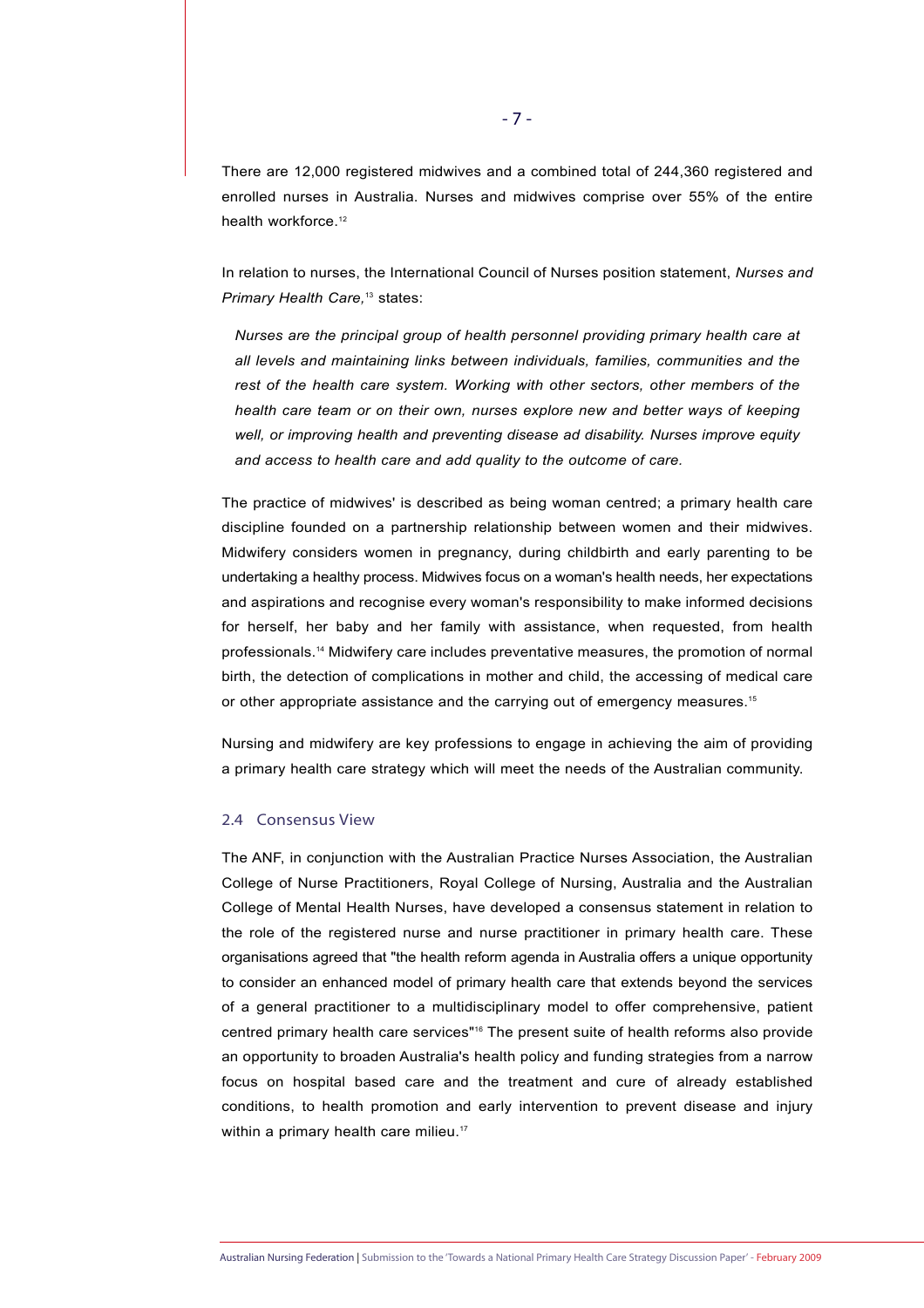There are 12,000 registered midwives and a combined total of 244,360 registered and enrolled nurses in Australia. Nurses and midwives comprise over 55% of the entire health workforce.<sup>12</sup>

In relation to nurses, the International Council of Nurses position statement, *Nurses and Primary Health Care*,<sup>13</sup> states:

*Nurses are the principal group of health personnel providing primary health care at all levels and maintaining links between individuals, families, communities and the rest of the health care system. Working with other sectors, other members of the health care team or on their own, nurses explore new and better ways of keeping well, or improving health and preventing disease ad disability. Nurses improve equity and access to health care and add quality to the outcome of care.* 

The practice of midwives' is described as being woman centred; a primary health care discipline founded on a partnership relationship between women and their midwives. Midwifery considers women in pregnancy, during childbirth and early parenting to be undertaking a healthy process. Midwives focus on a woman's health needs, her expectations and aspirations and recognise every woman's responsibility to make informed decisions for herself, her baby and her family with assistance, when requested, from health professionals.14 Midwifery care includes preventative measures, the promotion of normal birth, the detection of complications in mother and child, the accessing of medical care or other appropriate assistance and the carrying out of emergency measures.15

Nursing and midwifery are key professions to engage in achieving the aim of providing a primary health care strategy which will meet the needs of the Australian community.

#### 2.4 Consensus View

The ANF, in conjunction with the Australian Practice Nurses Association, the Australian College of Nurse Practitioners, Royal College of Nursing, Australia and the Australian College of Mental Health Nurses, have developed a consensus statement in relation to the role of the registered nurse and nurse practitioner in primary health care. These organisations agreed that "the health reform agenda in Australia offers a unique opportunity to consider an enhanced model of primary health care that extends beyond the services of a general practitioner to a multidisciplinary model to offer comprehensive, patient centred primary health care services"16 The present suite of health reforms also provide an opportunity to broaden Australia's health policy and funding strategies from a narrow focus on hospital based care and the treatment and cure of already established conditions, to health promotion and early intervention to prevent disease and injury within a primary health care milieu.<sup>17</sup>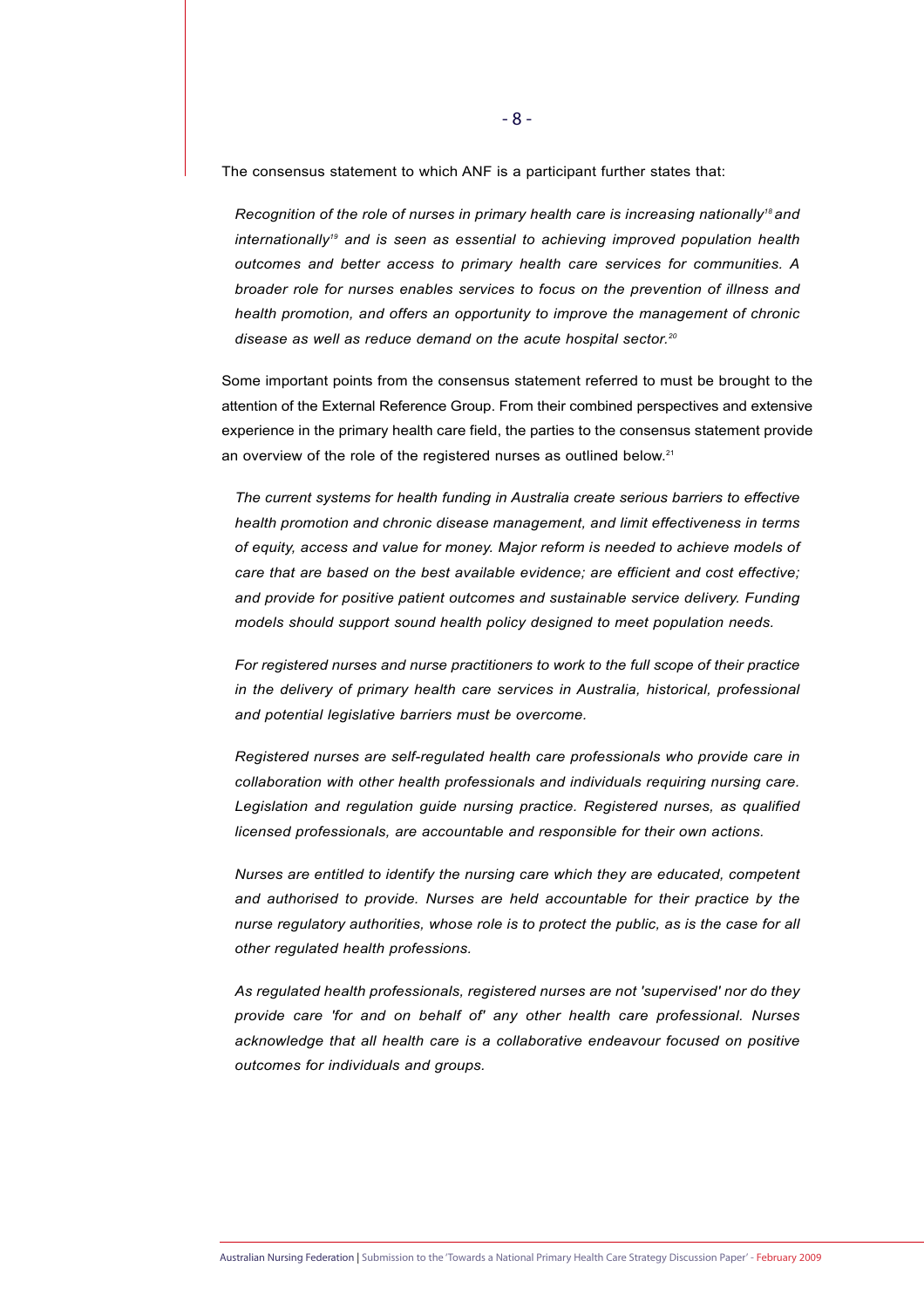The consensus statement to which ANF is a participant further states that:

*Recognition of the role of nurses in primary health care is increasing nationally18 and internationally19 and is seen as essential to achieving improved population health outcomes and better access to primary health care services for communities. A broader role for nurses enables services to focus on the prevention of illness and health promotion, and offers an opportunity to improve the management of chronic disease as well as reduce demand on the acute hospital sector.20*

Some important points from the consensus statement referred to must be brought to the attention of the External Reference Group. From their combined perspectives and extensive experience in the primary health care field, the parties to the consensus statement provide an overview of the role of the registered nurses as outlined below.<sup>21</sup>

*The current systems for health funding in Australia create serious barriers to effective health promotion and chronic disease management, and limit effectiveness in terms of equity, access and value for money. Major reform is needed to achieve models of care that are based on the best available evidence; are efficient and cost effective; and provide for positive patient outcomes and sustainable service delivery. Funding models should support sound health policy designed to meet population needs.* 

*For registered nurses and nurse practitioners to work to the full scope of their practice in the delivery of primary health care services in Australia, historical, professional and potential legislative barriers must be overcome.*

*Registered nurses are self-regulated health care professionals who provide care in collaboration with other health professionals and individuals requiring nursing care. Legislation and regulation guide nursing practice. Registered nurses, as qualified licensed professionals, are accountable and responsible for their own actions.* 

*Nurses are entitled to identify the nursing care which they are educated, competent and authorised to provide. Nurses are held accountable for their practice by the nurse regulatory authorities, whose role is to protect the public, as is the case for all other regulated health professions.* 

*As regulated health professionals, registered nurses are not 'supervised' nor do they provide care 'for and on behalf of' any other health care professional. Nurses acknowledge that all health care is a collaborative endeavour focused on positive outcomes for individuals and groups.*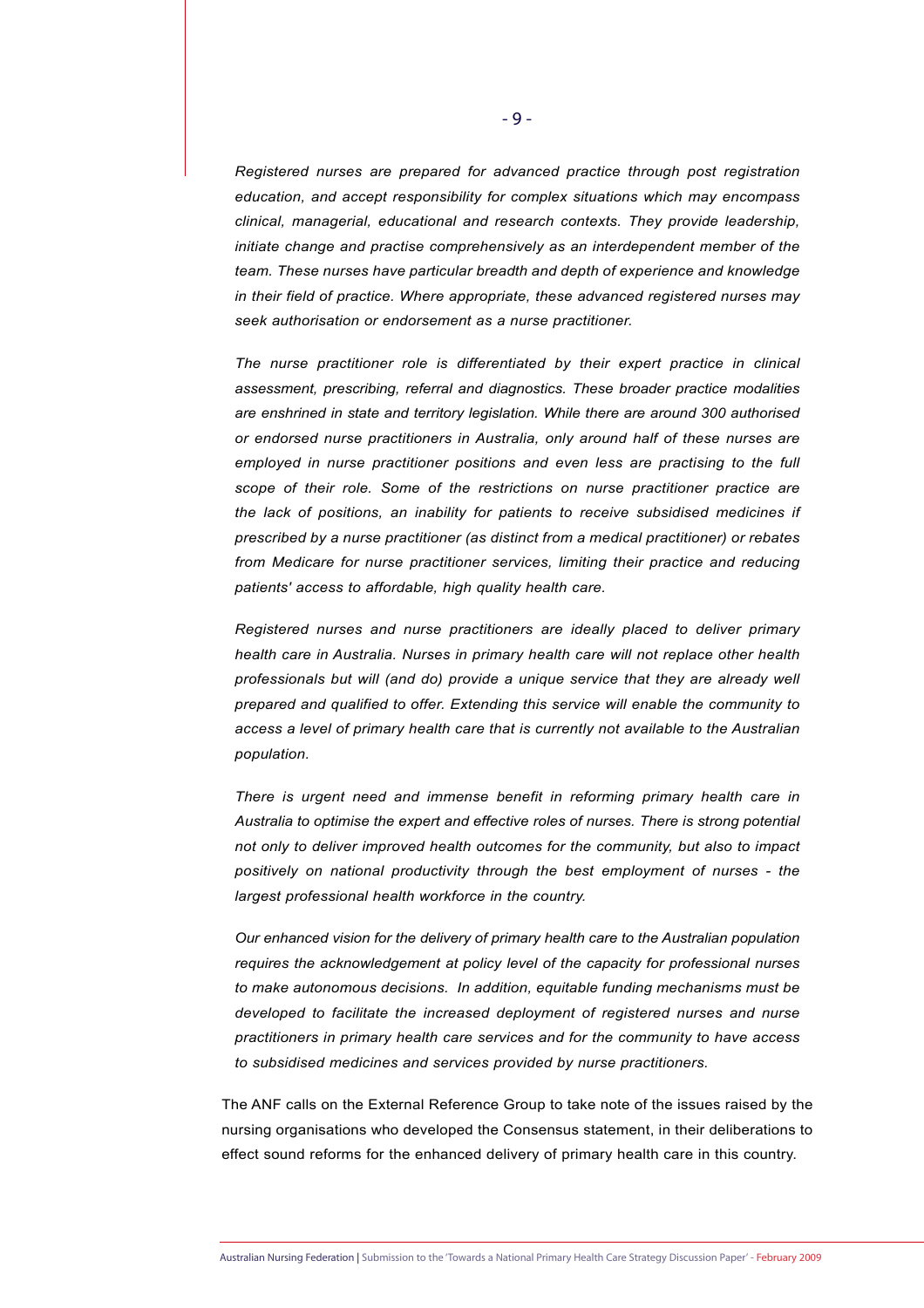*Registered nurses are prepared for advanced practice through post registration education, and accept responsibility for complex situations which may encompass clinical, managerial, educational and research contexts. They provide leadership, initiate change and practise comprehensively as an interdependent member of the team. These nurses have particular breadth and depth of experience and knowledge in their field of practice. Where appropriate, these advanced registered nurses may seek authorisation or endorsement as a nurse practitioner.*

*The nurse practitioner role is differentiated by their expert practice in clinical assessment, prescribing, referral and diagnostics. These broader practice modalities are enshrined in state and territory legislation. While there are around 300 authorised or endorsed nurse practitioners in Australia, only around half of these nurses are employed in nurse practitioner positions and even less are practising to the full scope of their role. Some of the restrictions on nurse practitioner practice are the lack of positions, an inability for patients to receive subsidised medicines if prescribed by a nurse practitioner (as distinct from a medical practitioner) or rebates from Medicare for nurse practitioner services, limiting their practice and reducing patients' access to affordable, high quality health care.*

*Registered nurses and nurse practitioners are ideally placed to deliver primary health care in Australia. Nurses in primary health care will not replace other health professionals but will (and do) provide a unique service that they are already well prepared and qualified to offer. Extending this service will enable the community to access a level of primary health care that is currently not available to the Australian population.*

*There is urgent need and immense benefit in reforming primary health care in Australia to optimise the expert and effective roles of nurses. There is strong potential not only to deliver improved health outcomes for the community, but also to impact positively on national productivity through the best employment of nurses - the largest professional health workforce in the country.* 

*Our enhanced vision for the delivery of primary health care to the Australian population requires the acknowledgement at policy level of the capacity for professional nurses to make autonomous decisions. In addition, equitable funding mechanisms must be developed to facilitate the increased deployment of registered nurses and nurse practitioners in primary health care services and for the community to have access to subsidised medicines and services provided by nurse practitioners.* 

The ANF calls on the External Reference Group to take note of the issues raised by the nursing organisations who developed the Consensus statement, in their deliberations to effect sound reforms for the enhanced delivery of primary health care in this country.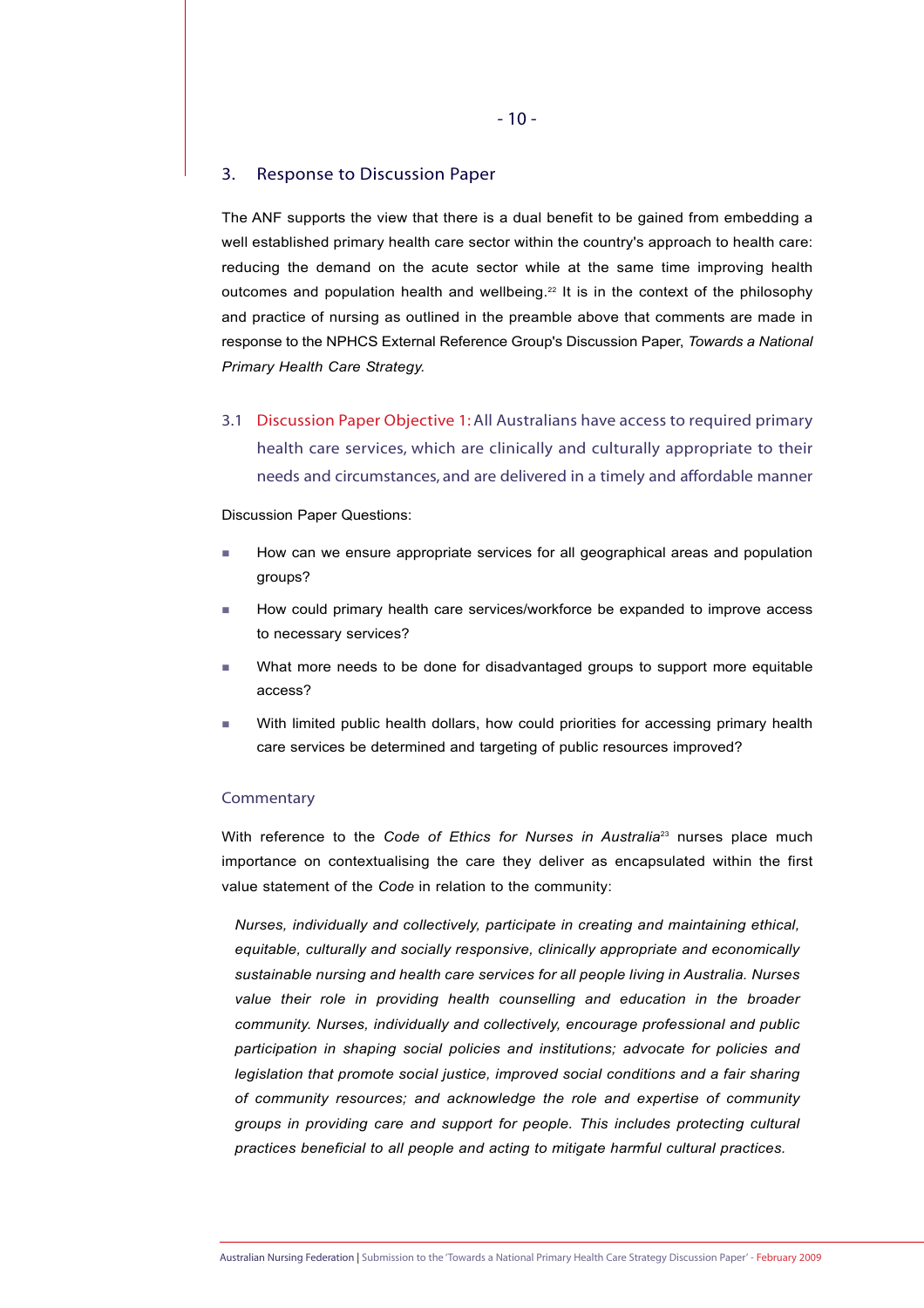# 3. Response to Discussion Paper

The ANF supports the view that there is a dual benefit to be gained from embedding a well established primary health care sector within the country's approach to health care: reducing the demand on the acute sector while at the same time improving health outcomes and population health and wellbeing.<sup>22</sup> It is in the context of the philosophy and practice of nursing as outlined in the preamble above that comments are made in response to the NPHCS External Reference Group's Discussion Paper, *Towards a National Primary Health Care Strategy.* 

3.1 Discussion Paper Objective 1:All Australians have access to required primary health care services, which are clinically and culturally appropriate to their needs and circumstances, and are delivered in a timely and affordable manner

Discussion Paper Questions:

- How can we ensure appropriate services for all geographical areas and population groups?
- How could primary health care services/workforce be expanded to improve access to necessary services?
- What more needs to be done for disadvantaged groups to support more equitable access?
- With limited public health dollars, how could priorities for accessing primary health care services be determined and targeting of public resources improved?

#### **Commentary**

With reference to the *Code of Ethics for Nurses in Australia*<sup>23</sup> nurses place much importance on contextualising the care they deliver as encapsulated within the first value statement of the *Code* in relation to the community:

*Nurses, individually and collectively, participate in creating and maintaining ethical, equitable, culturally and socially responsive, clinically appropriate and economically sustainable nursing and health care services for all people living in Australia. Nurses* value their role in providing health counselling and education in the broader *community. Nurses, individually and collectively, encourage professional and public participation in shaping social policies and institutions; advocate for policies and legislation that promote social justice, improved social conditions and a fair sharing of community resources; and acknowledge the role and expertise of community groups in providing care and support for people. This includes protecting cultural practices beneficial to all people and acting to mitigate harmful cultural practices.*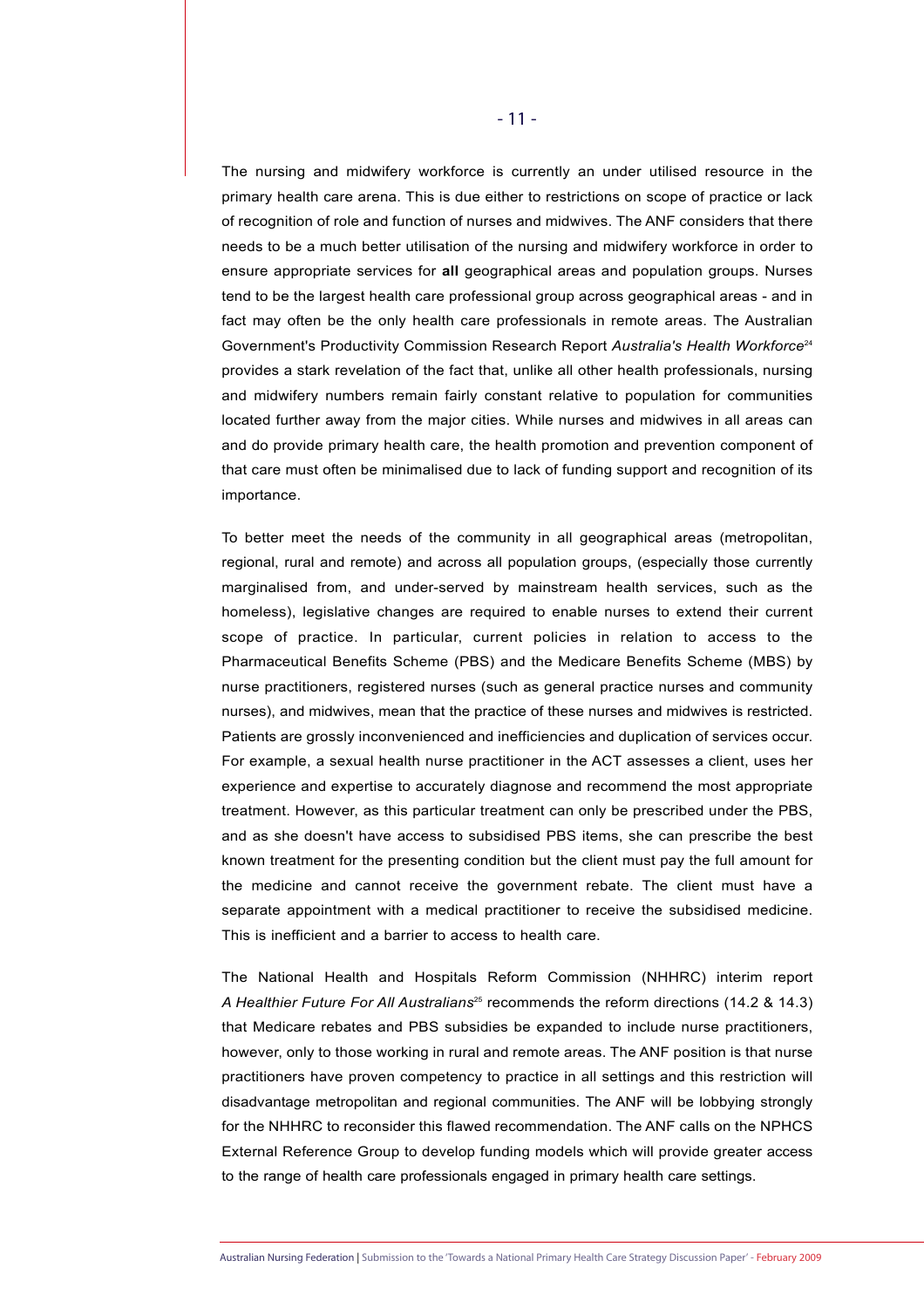The nursing and midwifery workforce is currently an under utilised resource in the primary health care arena. This is due either to restrictions on scope of practice or lack of recognition of role and function of nurses and midwives. The ANF considers that there needs to be a much better utilisation of the nursing and midwifery workforce in order to ensure appropriate services for **all** geographical areas and population groups. Nurses tend to be the largest health care professional group across geographical areas - and in fact may often be the only health care professionals in remote areas. The Australian Government's Productivity Commission Research Report *Australia's Health Workforce*<sup>24</sup> provides a stark revelation of the fact that, unlike all other health professionals, nursing and midwifery numbers remain fairly constant relative to population for communities located further away from the major cities. While nurses and midwives in all areas can and do provide primary health care, the health promotion and prevention component of that care must often be minimalised due to lack of funding support and recognition of its importance.

To better meet the needs of the community in all geographical areas (metropolitan, regional, rural and remote) and across all population groups, (especially those currently marginalised from, and under-served by mainstream health services, such as the homeless), legislative changes are required to enable nurses to extend their current scope of practice. In particular, current policies in relation to access to the Pharmaceutical Benefits Scheme (PBS) and the Medicare Benefits Scheme (MBS) by nurse practitioners, registered nurses (such as general practice nurses and community nurses), and midwives, mean that the practice of these nurses and midwives is restricted. Patients are grossly inconvenienced and inefficiencies and duplication of services occur. For example, a sexual health nurse practitioner in the ACT assesses a client, uses her experience and expertise to accurately diagnose and recommend the most appropriate treatment. However, as this particular treatment can only be prescribed under the PBS, and as she doesn't have access to subsidised PBS items, she can prescribe the best known treatment for the presenting condition but the client must pay the full amount for the medicine and cannot receive the government rebate. The client must have a separate appointment with a medical practitioner to receive the subsidised medicine. This is inefficient and a barrier to access to health care.

The National Health and Hospitals Reform Commission (NHHRC) interim report *A Healthier Future For All Australians*<sup>25</sup> recommends the reform directions (14.2 & 14.3) that Medicare rebates and PBS subsidies be expanded to include nurse practitioners, however, only to those working in rural and remote areas. The ANF position is that nurse practitioners have proven competency to practice in all settings and this restriction will disadvantage metropolitan and regional communities. The ANF will be lobbying strongly for the NHHRC to reconsider this flawed recommendation. The ANF calls on the NPHCS External Reference Group to develop funding models which will provide greater access to the range of health care professionals engaged in primary health care settings.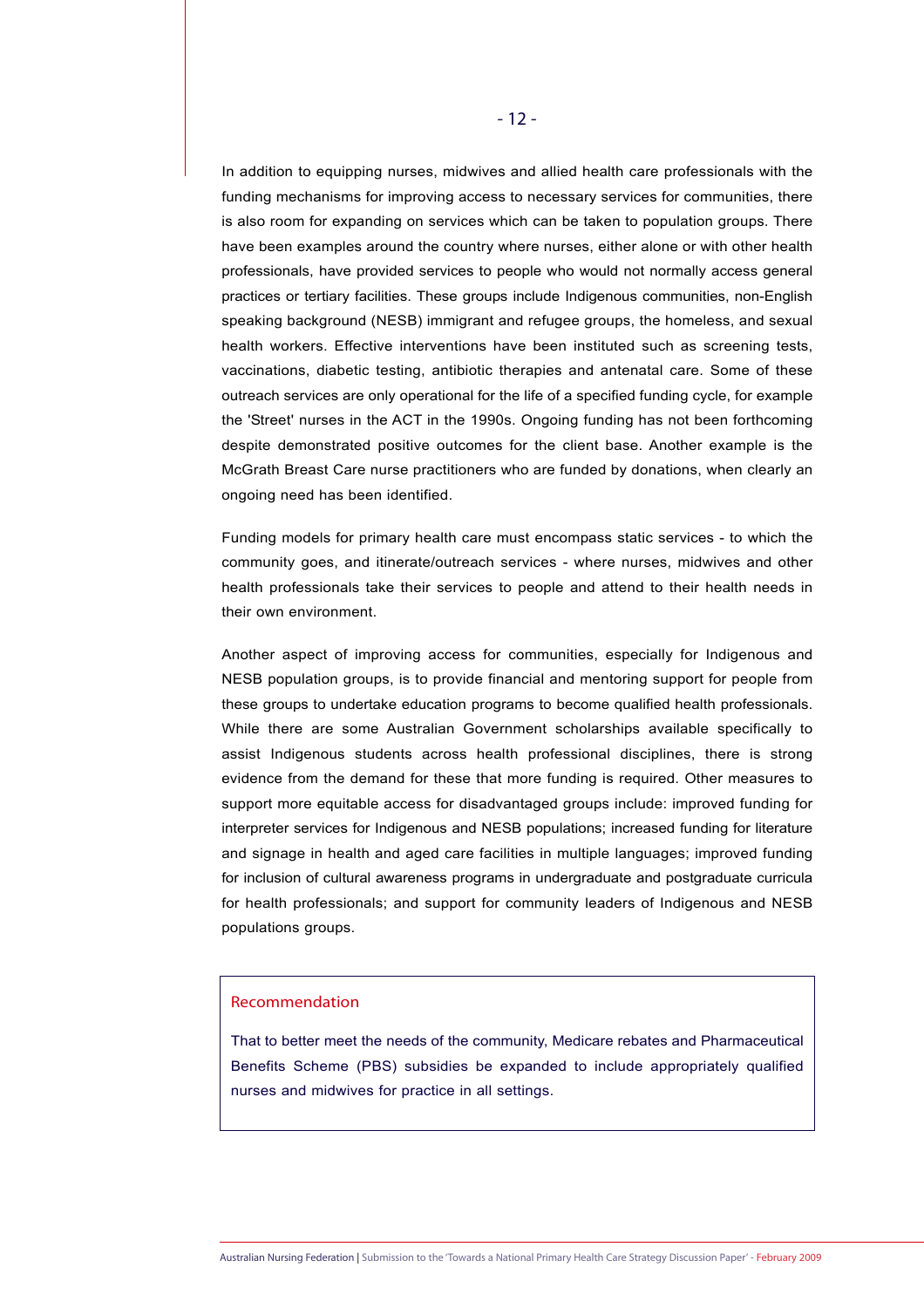In addition to equipping nurses, midwives and allied health care professionals with the funding mechanisms for improving access to necessary services for communities, there is also room for expanding on services which can be taken to population groups. There have been examples around the country where nurses, either alone or with other health professionals, have provided services to people who would not normally access general practices or tertiary facilities. These groups include Indigenous communities, non-English speaking background (NESB) immigrant and refugee groups, the homeless, and sexual health workers. Effective interventions have been instituted such as screening tests, vaccinations, diabetic testing, antibiotic therapies and antenatal care. Some of these outreach services are only operational for the life of a specified funding cycle, for example the 'Street' nurses in the ACT in the 1990s. Ongoing funding has not been forthcoming despite demonstrated positive outcomes for the client base. Another example is the McGrath Breast Care nurse practitioners who are funded by donations, when clearly an ongoing need has been identified.

Funding models for primary health care must encompass static services - to which the community goes, and itinerate/outreach services - where nurses, midwives and other health professionals take their services to people and attend to their health needs in their own environment.

Another aspect of improving access for communities, especially for Indigenous and NESB population groups, is to provide financial and mentoring support for people from these groups to undertake education programs to become qualified health professionals. While there are some Australian Government scholarships available specifically to assist Indigenous students across health professional disciplines, there is strong evidence from the demand for these that more funding is required. Other measures to support more equitable access for disadvantaged groups include: improved funding for interpreter services for Indigenous and NESB populations; increased funding for literature and signage in health and aged care facilities in multiple languages; improved funding for inclusion of cultural awareness programs in undergraduate and postgraduate curricula for health professionals; and support for community leaders of Indigenous and NESB populations groups.

#### Recommendation

That to better meet the needs of the community, Medicare rebates and Pharmaceutical Benefits Scheme (PBS) subsidies be expanded to include appropriately qualified nurses and midwives for practice in all settings.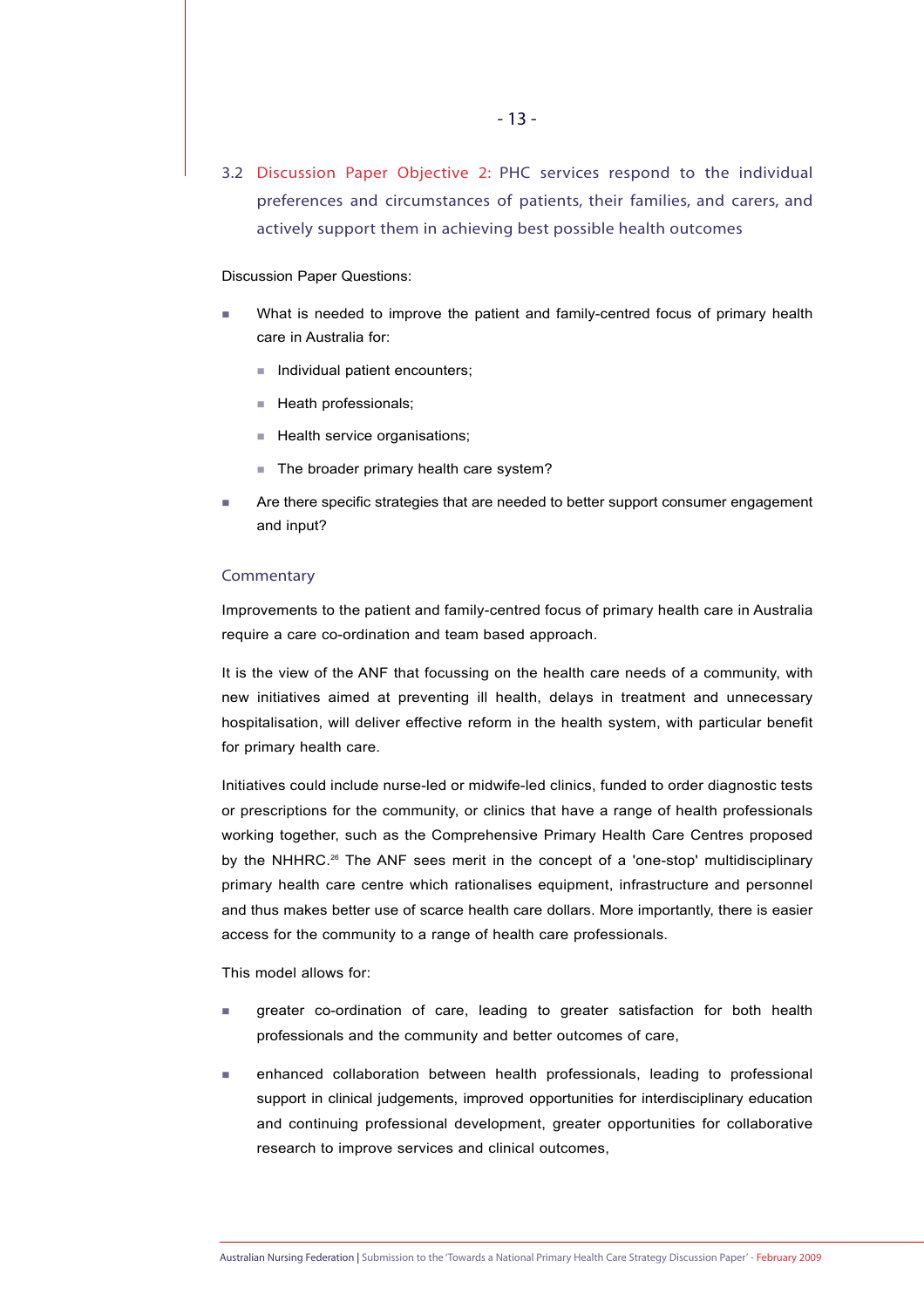3.2 Discussion Paper Objective 2: PHC services respond to the individual preferences and circumstances of patients, their families, and carers, and actively support them in achieving best possible health outcomes

#### Discussion Paper Questions:

- What is needed to improve the patient and family-centred focus of primary health care in Australia for:
	- $\blacksquare$  Individual patient encounters;
	- Heath professionals:
	- Health service organisations;
	- The broader primary health care system?
- Are there specific strategies that are needed to better support consumer engagement and input?

#### **Commentary**

Improvements to the patient and family-centred focus of primary health care in Australia require a care co-ordination and team based approach.

It is the view of the ANF that focussing on the health care needs of a community, with new initiatives aimed at preventing ill health, delays in treatment and unnecessary hospitalisation, will deliver effective reform in the health system, with particular benefit for primary health care.

Initiatives could include nurse-led or midwife-led clinics, funded to order diagnostic tests or prescriptions for the community, or clinics that have a range of health professionals working together, such as the Comprehensive Primary Health Care Centres proposed by the NHHRC.<sup>26</sup> The ANF sees merit in the concept of a 'one-stop' multidisciplinary primary health care centre which rationalises equipment, infrastructure and personnel and thus makes better use of scarce health care dollars. More importantly, there is easier access for the community to a range of health care professionals.

This model allows for:

- greater co-ordination of care, leading to greater satisfaction for both health professionals and the community and better outcomes of care,
- enhanced collaboration between health professionals, leading to professional support in clinical judgements, improved opportunities for interdisciplinary education and continuing professional development, greater opportunities for collaborative research to improve services and clinical outcomes,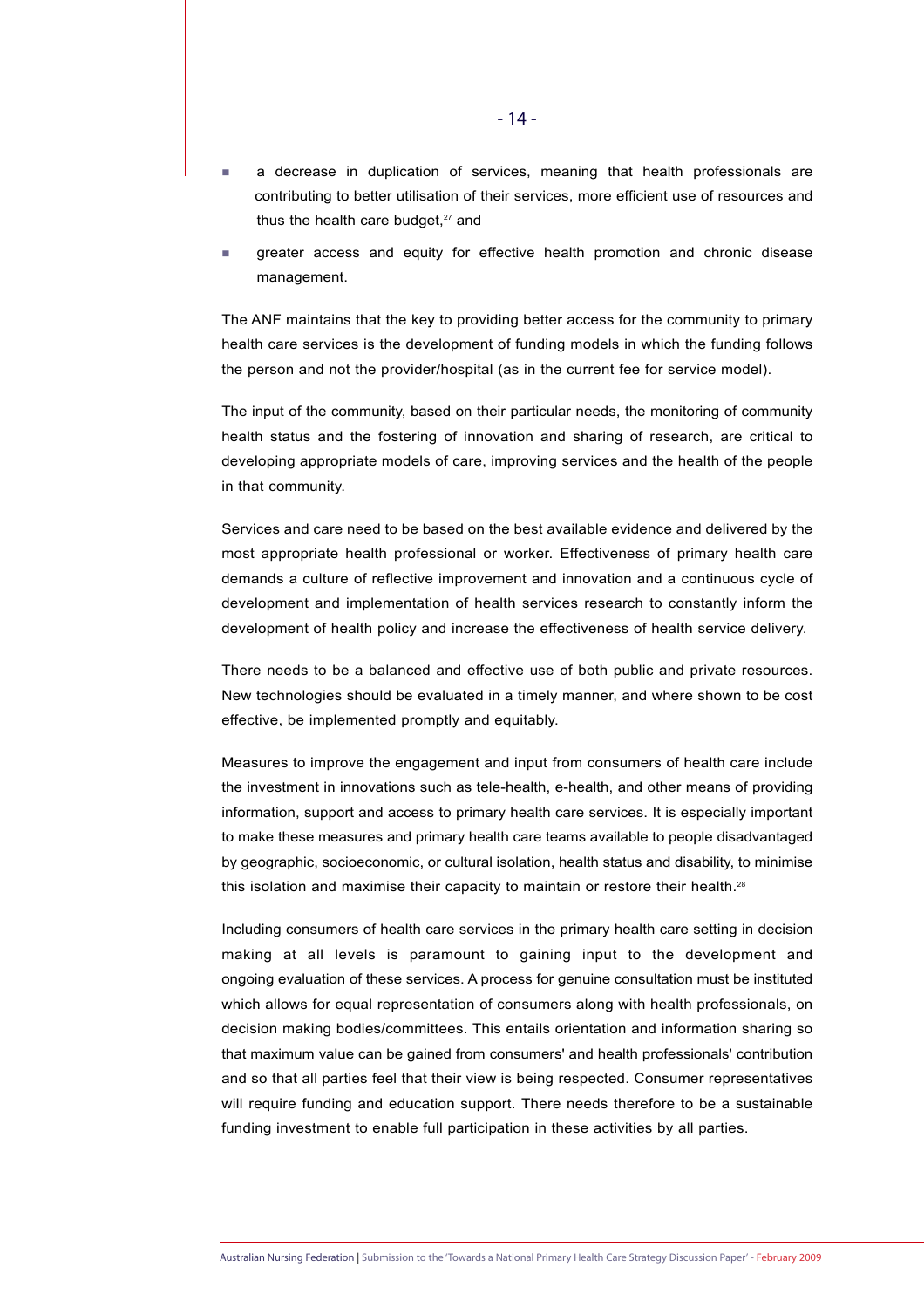- a decrease in duplication of services, meaning that health professionals are contributing to better utilisation of their services, more efficient use of resources and thus the health care budget, $27$  and
- greater access and equity for effective health promotion and chronic disease management.

The ANF maintains that the key to providing better access for the community to primary health care services is the development of funding models in which the funding follows the person and not the provider/hospital (as in the current fee for service model).

The input of the community, based on their particular needs, the monitoring of community health status and the fostering of innovation and sharing of research, are critical to developing appropriate models of care, improving services and the health of the people in that community.

Services and care need to be based on the best available evidence and delivered by the most appropriate health professional or worker. Effectiveness of primary health care demands a culture of reflective improvement and innovation and a continuous cycle of development and implementation of health services research to constantly inform the development of health policy and increase the effectiveness of health service delivery.

There needs to be a balanced and effective use of both public and private resources. New technologies should be evaluated in a timely manner, and where shown to be cost effective, be implemented promptly and equitably.

Measures to improve the engagement and input from consumers of health care include the investment in innovations such as tele-health, e-health, and other means of providing information, support and access to primary health care services. It is especially important to make these measures and primary health care teams available to people disadvantaged by geographic, socioeconomic, or cultural isolation, health status and disability, to minimise this isolation and maximise their capacity to maintain or restore their health.<sup>28</sup>

Including consumers of health care services in the primary health care setting in decision making at all levels is paramount to gaining input to the development and ongoing evaluation of these services. A process for genuine consultation must be instituted which allows for equal representation of consumers along with health professionals, on decision making bodies/committees. This entails orientation and information sharing so that maximum value can be gained from consumers' and health professionals' contribution and so that all parties feel that their view is being respected. Consumer representatives will require funding and education support. There needs therefore to be a sustainable funding investment to enable full participation in these activities by all parties.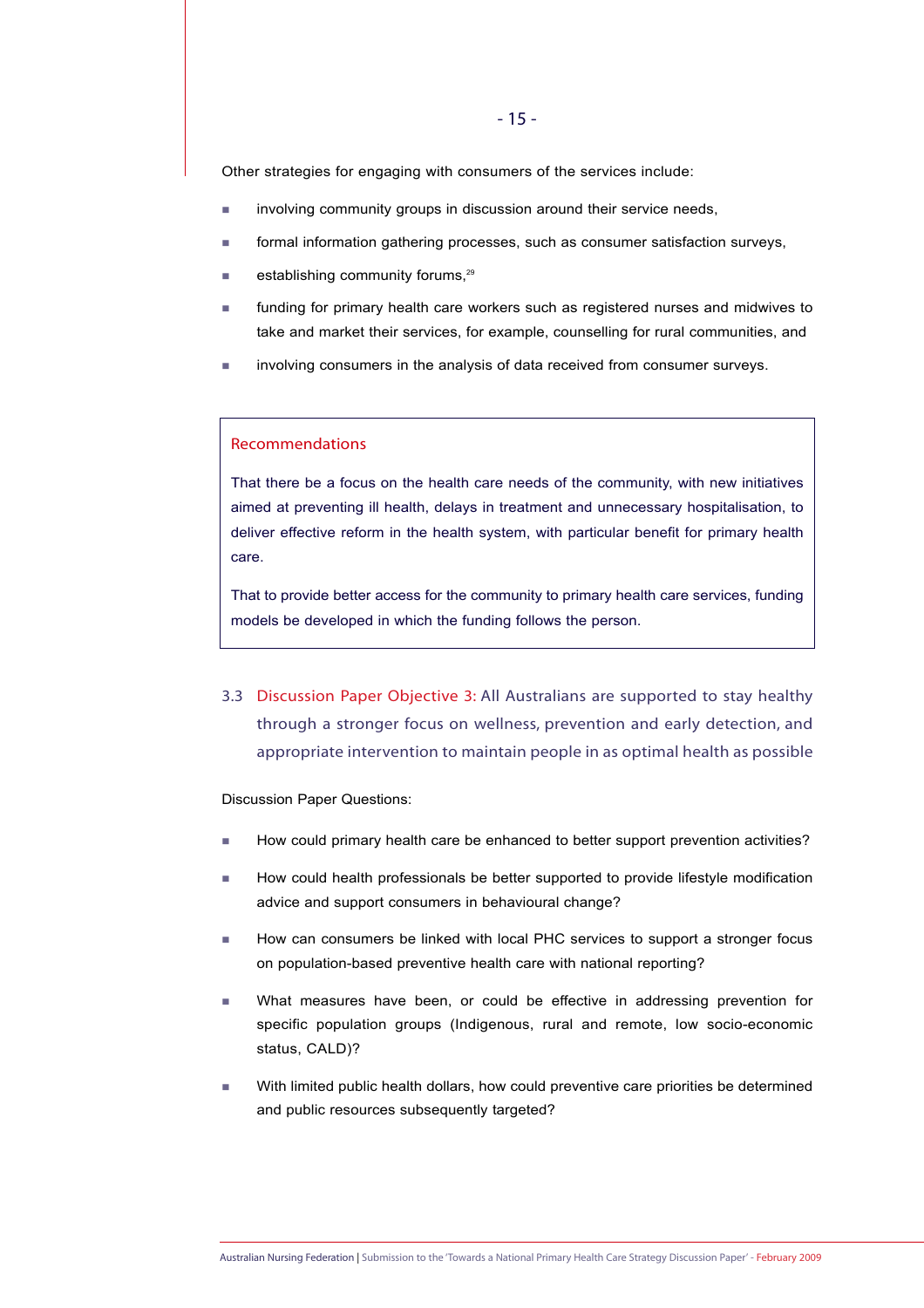Other strategies for engaging with consumers of the services include:

- **involving community groups in discussion around their service needs,**
- formal information gathering processes, such as consumer satisfaction surveys,
- establishing community forums.<sup>29</sup>
- funding for primary health care workers such as registered nurses and midwives to take and market their services, for example, counselling for rural communities, and
- involving consumers in the analysis of data received from consumer surveys.

#### Recommendations

That there be a focus on the health care needs of the community, with new initiatives aimed at preventing ill health, delays in treatment and unnecessary hospitalisation, to deliver effective reform in the health system, with particular benefit for primary health care.

That to provide better access for the community to primary health care services, funding models be developed in which the funding follows the person.

3.3 Discussion Paper Objective 3: All Australians are supported to stay healthy through a stronger focus on wellness, prevention and early detection, and appropriate intervention to maintain people in as optimal health as possible

Discussion Paper Questions:

- How could primary health care be enhanced to better support prevention activities?
- How could health professionals be better supported to provide lifestyle modification advice and support consumers in behavioural change?
- How can consumers be linked with local PHC services to support a stronger focus on population-based preventive health care with national reporting?
- What measures have been, or could be effective in addressing prevention for specific population groups (Indigenous, rural and remote, low socio-economic status, CALD)?
- With limited public health dollars, how could preventive care priorities be determined and public resources subsequently targeted?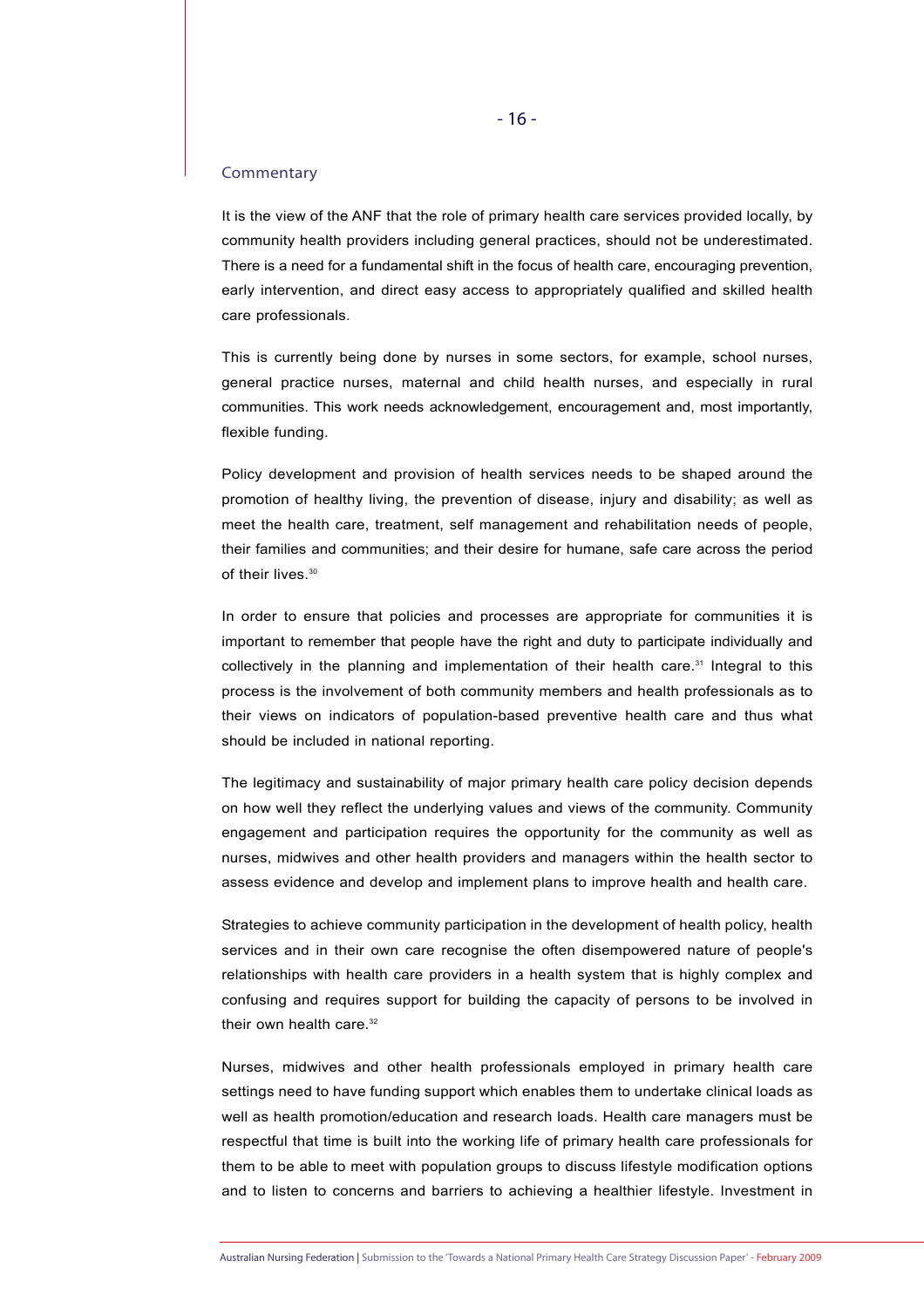#### **Commentary**

It is the view of the ANF that the role of primary health care services provided locally, by community health providers including general practices, should not be underestimated. There is a need for a fundamental shift in the focus of health care, encouraging prevention, early intervention, and direct easy access to appropriately qualified and skilled health care professionals.

This is currently being done by nurses in some sectors, for example, school nurses, general practice nurses, maternal and child health nurses, and especially in rural communities. This work needs acknowledgement, encouragement and, most importantly, flexible funding.

Policy development and provision of health services needs to be shaped around the promotion of healthy living, the prevention of disease, injury and disability; as well as meet the health care, treatment, self management and rehabilitation needs of people, their families and communities; and their desire for humane, safe care across the period of their lives.<sup>30</sup>

In order to ensure that policies and processes are appropriate for communities it is important to remember that people have the right and duty to participate individually and collectively in the planning and implementation of their health care. $31$  Integral to this process is the involvement of both community members and health professionals as to their views on indicators of population-based preventive health care and thus what should be included in national reporting.

The legitimacy and sustainability of major primary health care policy decision depends on how well they reflect the underlying values and views of the community. Community engagement and participation requires the opportunity for the community as well as nurses, midwives and other health providers and managers within the health sector to assess evidence and develop and implement plans to improve health and health care.

Strategies to achieve community participation in the development of health policy, health services and in their own care recognise the often disempowered nature of people's relationships with health care providers in a health system that is highly complex and confusing and requires support for building the capacity of persons to be involved in their own health care.<sup>32</sup>

Nurses, midwives and other health professionals employed in primary health care settings need to have funding support which enables them to undertake clinical loads as well as health promotion/education and research loads. Health care managers must be respectful that time is built into the working life of primary health care professionals for them to be able to meet with population groups to discuss lifestyle modification options and to listen to concerns and barriers to achieving a healthier lifestyle. Investment in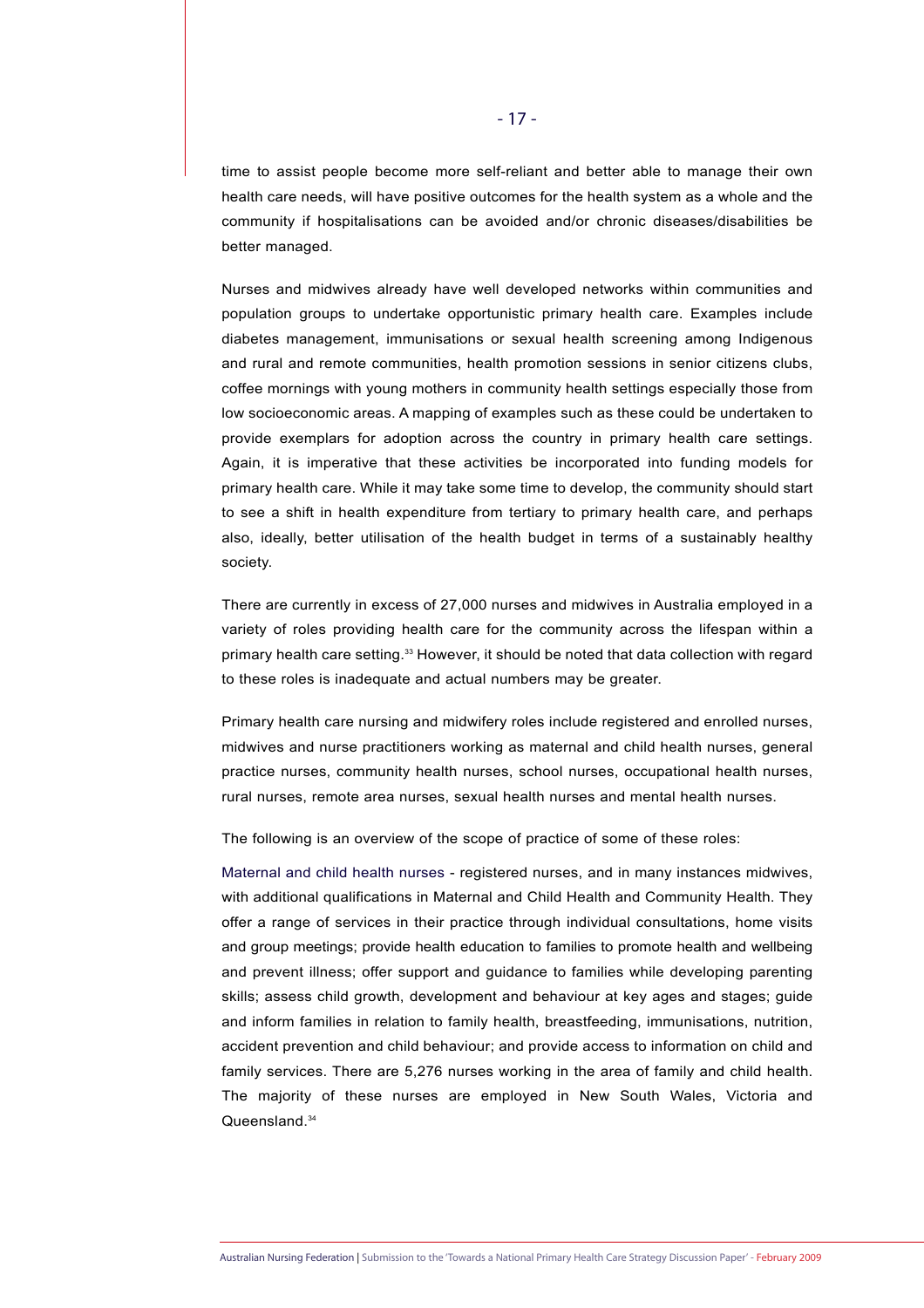time to assist people become more self-reliant and better able to manage their own health care needs, will have positive outcomes for the health system as a whole and the community if hospitalisations can be avoided and/or chronic diseases/disabilities be better managed.

Nurses and midwives already have well developed networks within communities and population groups to undertake opportunistic primary health care. Examples include diabetes management, immunisations or sexual health screening among Indigenous and rural and remote communities, health promotion sessions in senior citizens clubs, coffee mornings with young mothers in community health settings especially those from low socioeconomic areas. A mapping of examples such as these could be undertaken to provide exemplars for adoption across the country in primary health care settings. Again, it is imperative that these activities be incorporated into funding models for primary health care. While it may take some time to develop, the community should start to see a shift in health expenditure from tertiary to primary health care, and perhaps also, ideally, better utilisation of the health budget in terms of a sustainably healthy society.

There are currently in excess of 27,000 nurses and midwives in Australia employed in a variety of roles providing health care for the community across the lifespan within a primary health care setting.<sup>33</sup> However, it should be noted that data collection with regard to these roles is inadequate and actual numbers may be greater.

Primary health care nursing and midwifery roles include registered and enrolled nurses, midwives and nurse practitioners working as maternal and child health nurses, general practice nurses, community health nurses, school nurses, occupational health nurses, rural nurses, remote area nurses, sexual health nurses and mental health nurses.

The following is an overview of the scope of practice of some of these roles:

Maternal and child health nurses - registered nurses, and in many instances midwives, with additional qualifications in Maternal and Child Health and Community Health. They offer a range of services in their practice through individual consultations, home visits and group meetings; provide health education to families to promote health and wellbeing and prevent illness; offer support and guidance to families while developing parenting skills; assess child growth, development and behaviour at key ages and stages; guide and inform families in relation to family health, breastfeeding, immunisations, nutrition, accident prevention and child behaviour; and provide access to information on child and family services. There are 5,276 nurses working in the area of family and child health. The majority of these nurses are employed in New South Wales, Victoria and Queensland.<sup>34</sup>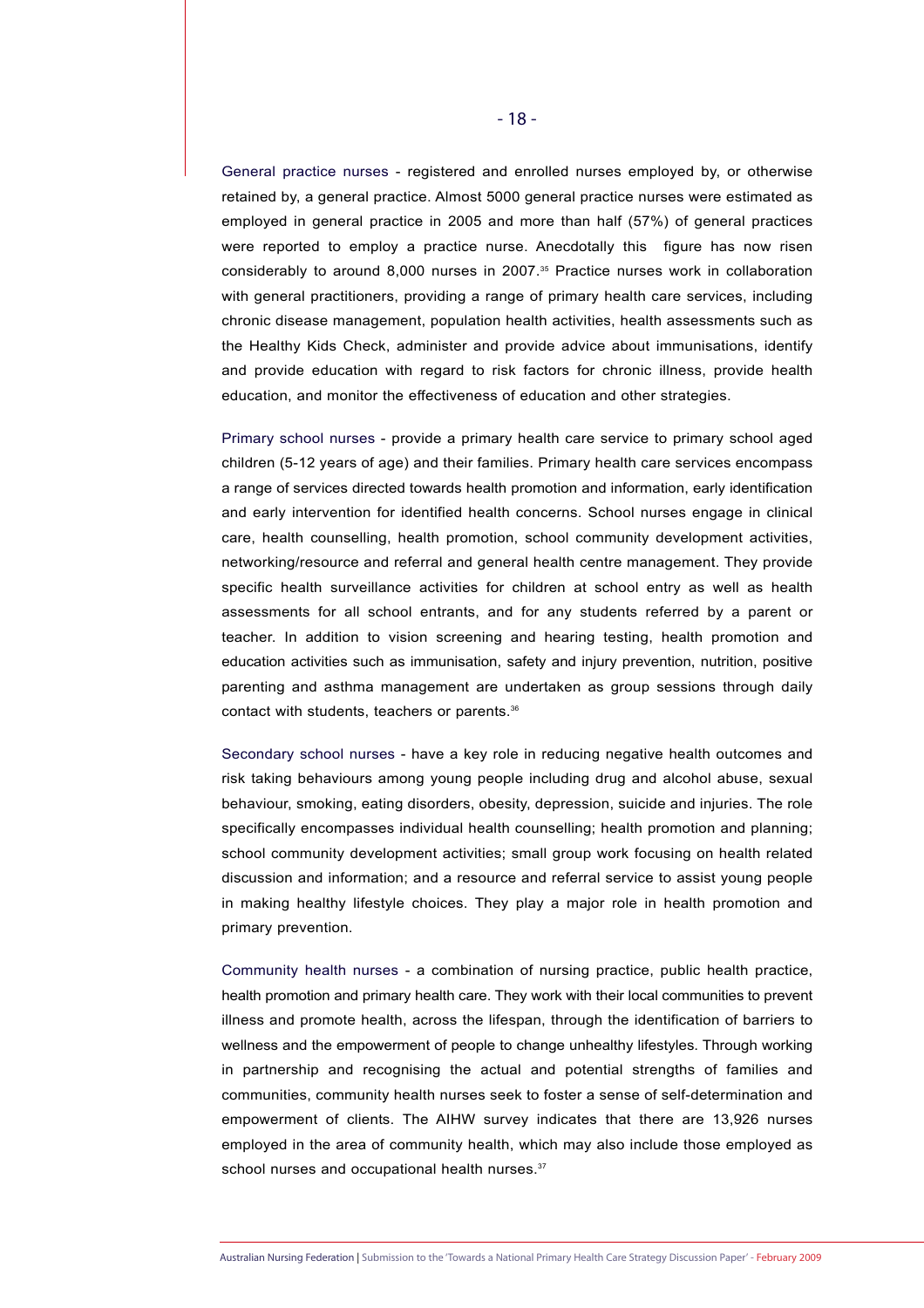General practice nurses - registered and enrolled nurses employed by, or otherwise retained by, a general practice. Almost 5000 general practice nurses were estimated as employed in general practice in 2005 and more than half (57%) of general practices were reported to employ a practice nurse. Anecdotally this figure has now risen considerably to around 8,000 nurses in 2007.35 Practice nurses work in collaboration with general practitioners, providing a range of primary health care services, including chronic disease management, population health activities, health assessments such as the Healthy Kids Check, administer and provide advice about immunisations, identify and provide education with regard to risk factors for chronic illness, provide health education, and monitor the effectiveness of education and other strategies.

Primary school nurses - provide a primary health care service to primary school aged children (5-12 years of age) and their families. Primary health care services encompass a range of services directed towards health promotion and information, early identification and early intervention for identified health concerns. School nurses engage in clinical care, health counselling, health promotion, school community development activities, networking/resource and referral and general health centre management. They provide specific health surveillance activities for children at school entry as well as health assessments for all school entrants, and for any students referred by a parent or teacher. In addition to vision screening and hearing testing, health promotion and education activities such as immunisation, safety and injury prevention, nutrition, positive parenting and asthma management are undertaken as group sessions through daily contact with students, teachers or parents.36

Secondary school nurses - have a key role in reducing negative health outcomes and risk taking behaviours among young people including drug and alcohol abuse, sexual behaviour, smoking, eating disorders, obesity, depression, suicide and injuries. The role specifically encompasses individual health counselling; health promotion and planning; school community development activities; small group work focusing on health related discussion and information; and a resource and referral service to assist young people in making healthy lifestyle choices. They play a major role in health promotion and primary prevention.

Community health nurses - a combination of nursing practice, public health practice, health promotion and primary health care. They work with their local communities to prevent illness and promote health, across the lifespan, through the identification of barriers to wellness and the empowerment of people to change unhealthy lifestyles. Through working in partnership and recognising the actual and potential strengths of families and communities, community health nurses seek to foster a sense of self-determination and empowerment of clients. The AIHW survey indicates that there are 13,926 nurses employed in the area of community health, which may also include those employed as school nurses and occupational health nurses.<sup>37</sup>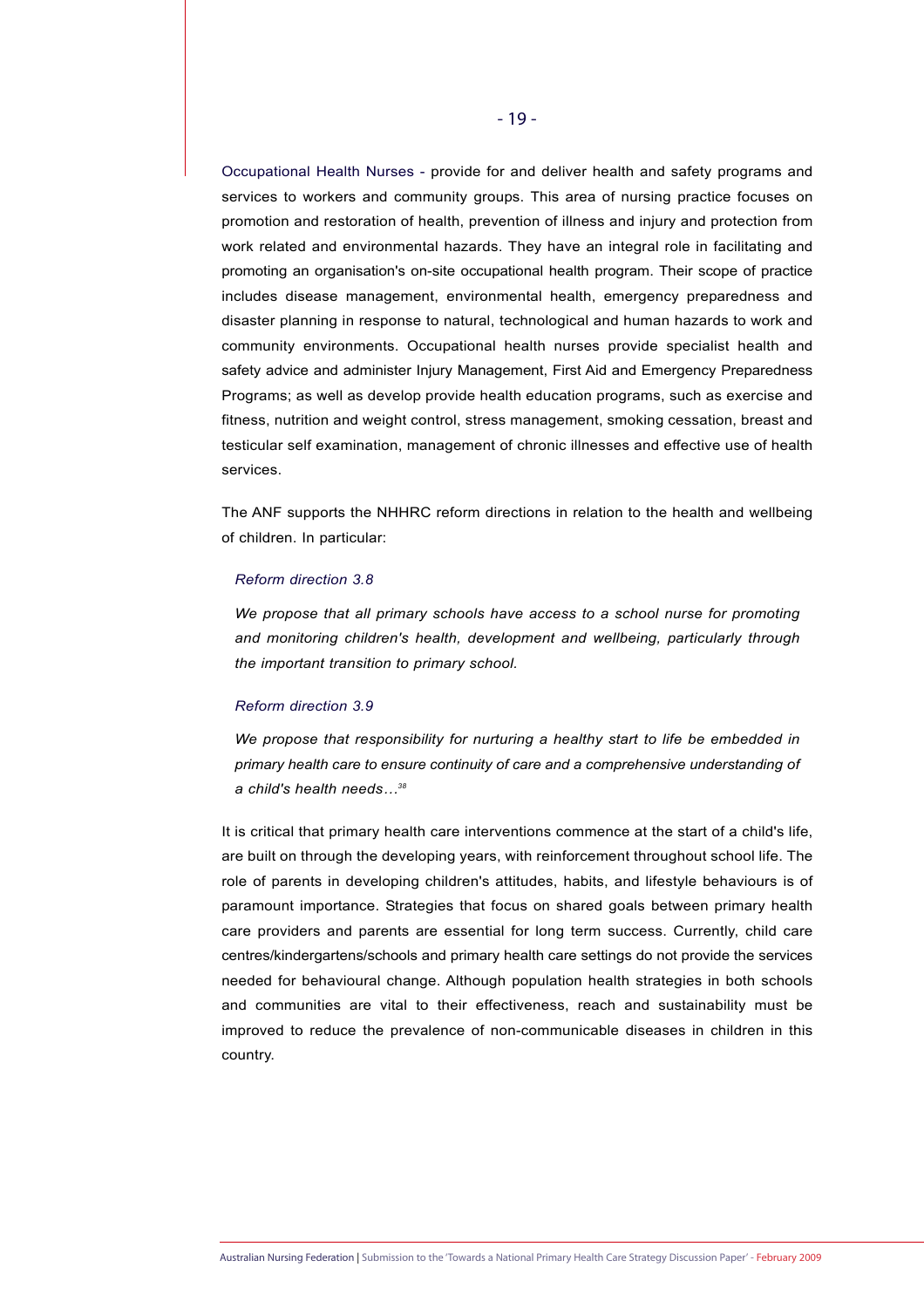Occupational Health Nurses - provide for and deliver health and safety programs and services to workers and community groups. This area of nursing practice focuses on promotion and restoration of health, prevention of illness and injury and protection from work related and environmental hazards. They have an integral role in facilitating and promoting an organisation's on-site occupational health program. Their scope of practice includes disease management, environmental health, emergency preparedness and disaster planning in response to natural, technological and human hazards to work and community environments. Occupational health nurses provide specialist health and safety advice and administer Injury Management, First Aid and Emergency Preparedness Programs; as well as develop provide health education programs, such as exercise and fitness, nutrition and weight control, stress management, smoking cessation, breast and testicular self examination, management of chronic illnesses and effective use of health services.

The ANF supports the NHHRC reform directions in relation to the health and wellbeing of children. In particular:

#### *Reform direction 3.8*

*We propose that all primary schools have access to a school nurse for promoting and monitoring children's health, development and wellbeing, particularly through the important transition to primary school.*

#### *Reform direction 3.9*

*We propose that responsibility for nurturing a healthy start to life be embedded in primary health care to ensure continuity of care and a comprehensive understanding of a child's health needs…38* 

It is critical that primary health care interventions commence at the start of a child's life, are built on through the developing years, with reinforcement throughout school life. The role of parents in developing children's attitudes, habits, and lifestyle behaviours is of paramount importance. Strategies that focus on shared goals between primary health care providers and parents are essential for long term success. Currently, child care centres/kindergartens/schools and primary health care settings do not provide the services needed for behavioural change. Although population health strategies in both schools and communities are vital to their effectiveness, reach and sustainability must be improved to reduce the prevalence of non-communicable diseases in children in this country.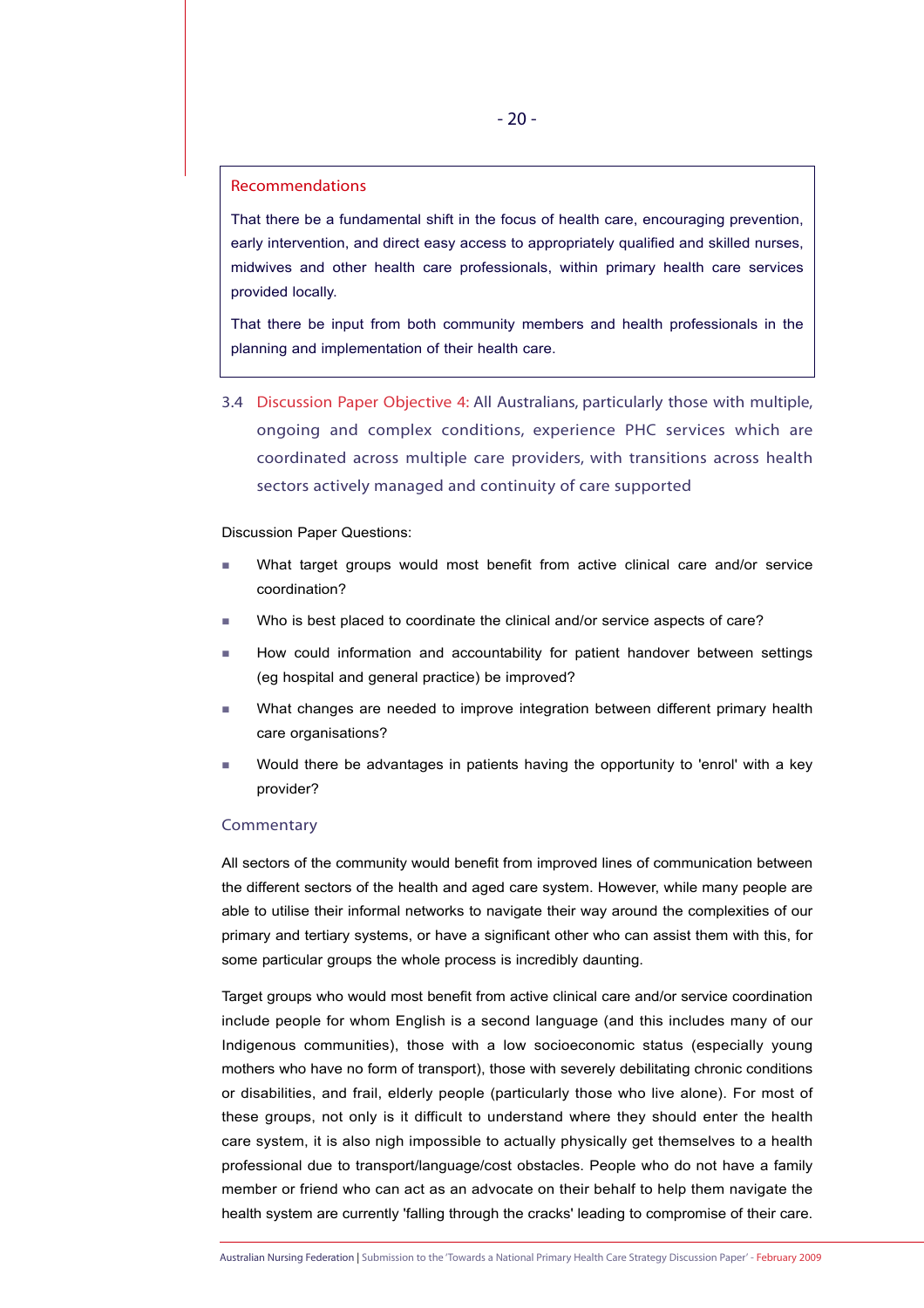# Recommendations

That there be a fundamental shift in the focus of health care, encouraging prevention, early intervention, and direct easy access to appropriately qualified and skilled nurses, midwives and other health care professionals, within primary health care services provided locally.

That there be input from both community members and health professionals in the planning and implementation of their health care.

3.4 Discussion Paper Objective 4: All Australians, particularly those with multiple, ongoing and complex conditions, experience PHC services which are coordinated across multiple care providers, with transitions across health sectors actively managed and continuity of care supported

#### Discussion Paper Questions:

- What target groups would most benefit from active clinical care and/or service coordination?
- Who is best placed to coordinate the clinical and/or service aspects of care?
- How could information and accountability for patient handover between settings (eg hospital and general practice) be improved?
- What changes are needed to improve integration between different primary health care organisations?
- Would there be advantages in patients having the opportunity to 'enrol' with a key provider?

# **Commentary**

All sectors of the community would benefit from improved lines of communication between the different sectors of the health and aged care system. However, while many people are able to utilise their informal networks to navigate their way around the complexities of our primary and tertiary systems, or have a significant other who can assist them with this, for some particular groups the whole process is incredibly daunting.

Target groups who would most benefit from active clinical care and/or service coordination include people for whom English is a second language (and this includes many of our Indigenous communities), those with a low socioeconomic status (especially young mothers who have no form of transport), those with severely debilitating chronic conditions or disabilities, and frail, elderly people (particularly those who live alone). For most of these groups, not only is it difficult to understand where they should enter the health care system, it is also nigh impossible to actually physically get themselves to a health professional due to transport/language/cost obstacles. People who do not have a family member or friend who can act as an advocate on their behalf to help them navigate the health system are currently 'falling through the cracks' leading to compromise of their care.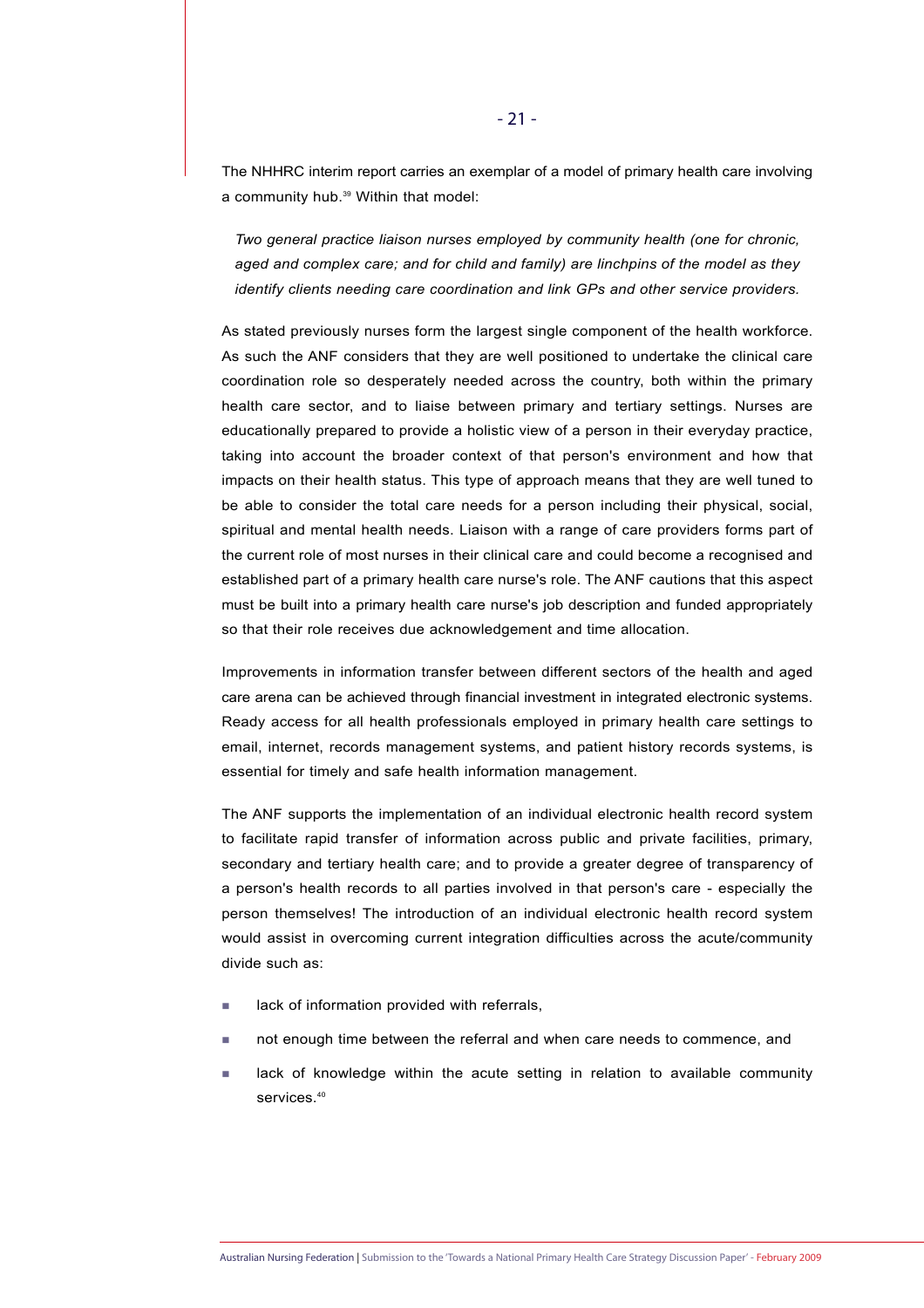The NHHRC interim report carries an exemplar of a model of primary health care involving a community hub.<sup>39</sup> Within that model:

*Two general practice liaison nurses employed by community health (one for chronic, aged and complex care; and for child and family) are linchpins of the model as they identify clients needing care coordination and link GPs and other service providers.*

As stated previously nurses form the largest single component of the health workforce. As such the ANF considers that they are well positioned to undertake the clinical care coordination role so desperately needed across the country, both within the primary health care sector, and to liaise between primary and tertiary settings. Nurses are educationally prepared to provide a holistic view of a person in their everyday practice, taking into account the broader context of that person's environment and how that impacts on their health status. This type of approach means that they are well tuned to be able to consider the total care needs for a person including their physical, social, spiritual and mental health needs. Liaison with a range of care providers forms part of the current role of most nurses in their clinical care and could become a recognised and established part of a primary health care nurse's role. The ANF cautions that this aspect must be built into a primary health care nurse's job description and funded appropriately so that their role receives due acknowledgement and time allocation.

Improvements in information transfer between different sectors of the health and aged care arena can be achieved through financial investment in integrated electronic systems. Ready access for all health professionals employed in primary health care settings to email, internet, records management systems, and patient history records systems, is essential for timely and safe health information management.

The ANF supports the implementation of an individual electronic health record system to facilitate rapid transfer of information across public and private facilities, primary, secondary and tertiary health care; and to provide a greater degree of transparency of a person's health records to all parties involved in that person's care - especially the person themselves! The introduction of an individual electronic health record system would assist in overcoming current integration difficulties across the acute/community divide such as:

- lack of information provided with referrals,
- not enough time between the referral and when care needs to commence, and
- lack of knowledge within the acute setting in relation to available community services.<sup>40</sup>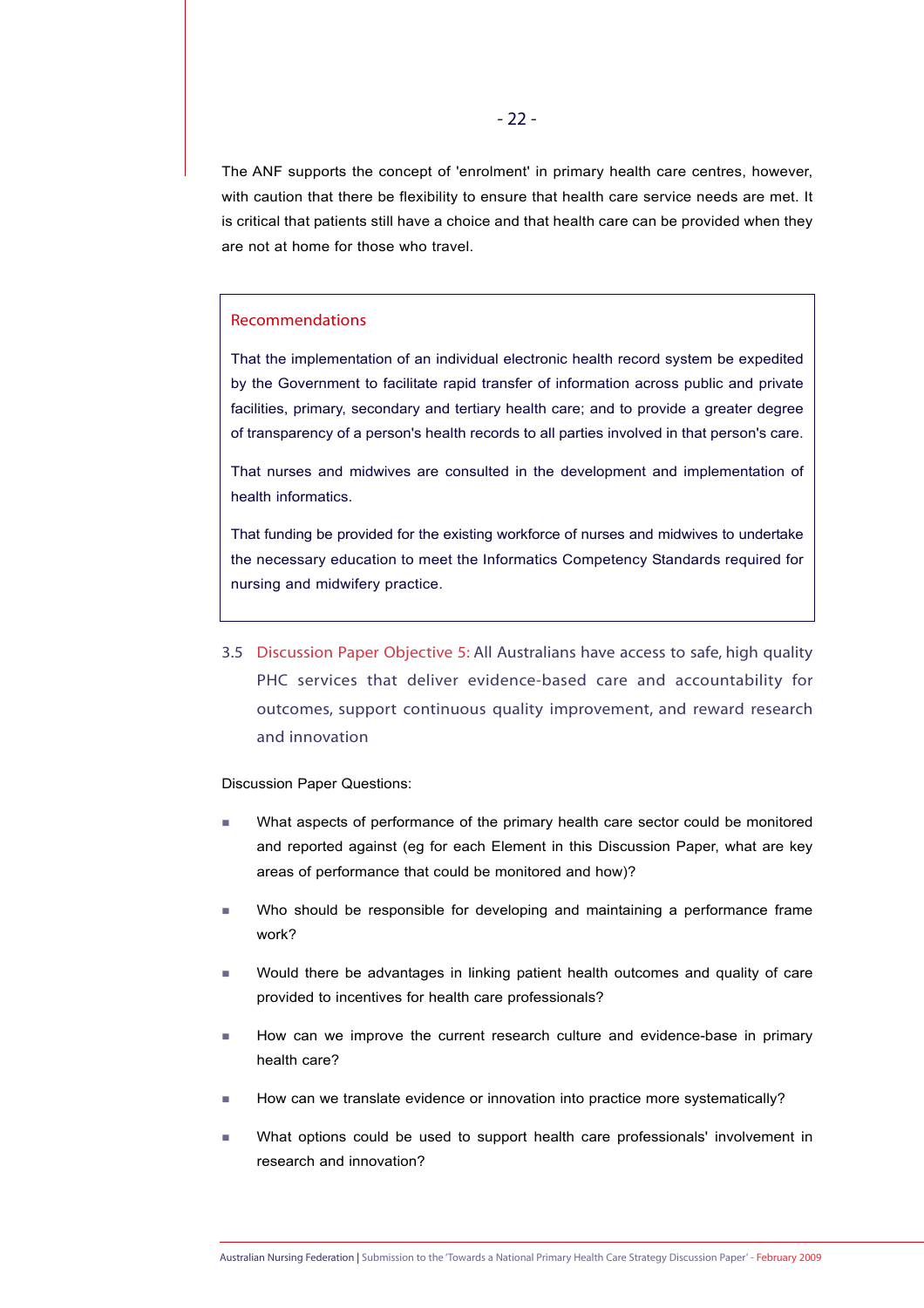The ANF supports the concept of 'enrolment' in primary health care centres, however, with caution that there be flexibility to ensure that health care service needs are met. It is critical that patients still have a choice and that health care can be provided when they are not at home for those who travel.

# Recommendations

That the implementation of an individual electronic health record system be expedited by the Government to facilitate rapid transfer of information across public and private facilities, primary, secondary and tertiary health care; and to provide a greater degree of transparency of a person's health records to all parties involved in that person's care.

That nurses and midwives are consulted in the development and implementation of health informatics.

That funding be provided for the existing workforce of nurses and midwives to undertake the necessary education to meet the Informatics Competency Standards required for nursing and midwifery practice.

3.5 Discussion Paper Objective 5: All Australians have access to safe, high quality PHC services that deliver evidence-based care and accountability for outcomes, support continuous quality improvement, and reward research and innovation

Discussion Paper Questions:

- What aspects of performance of the primary health care sector could be monitored and reported against (eg for each Element in this Discussion Paper, what are key areas of performance that could be monitored and how)?
- Who should be responsible for developing and maintaining a performance frame work?
- Would there be advantages in linking patient health outcomes and quality of care provided to incentives for health care professionals?
- How can we improve the current research culture and evidence-base in primary health care?
- How can we translate evidence or innovation into practice more systematically?
- What options could be used to support health care professionals' involvement in research and innovation?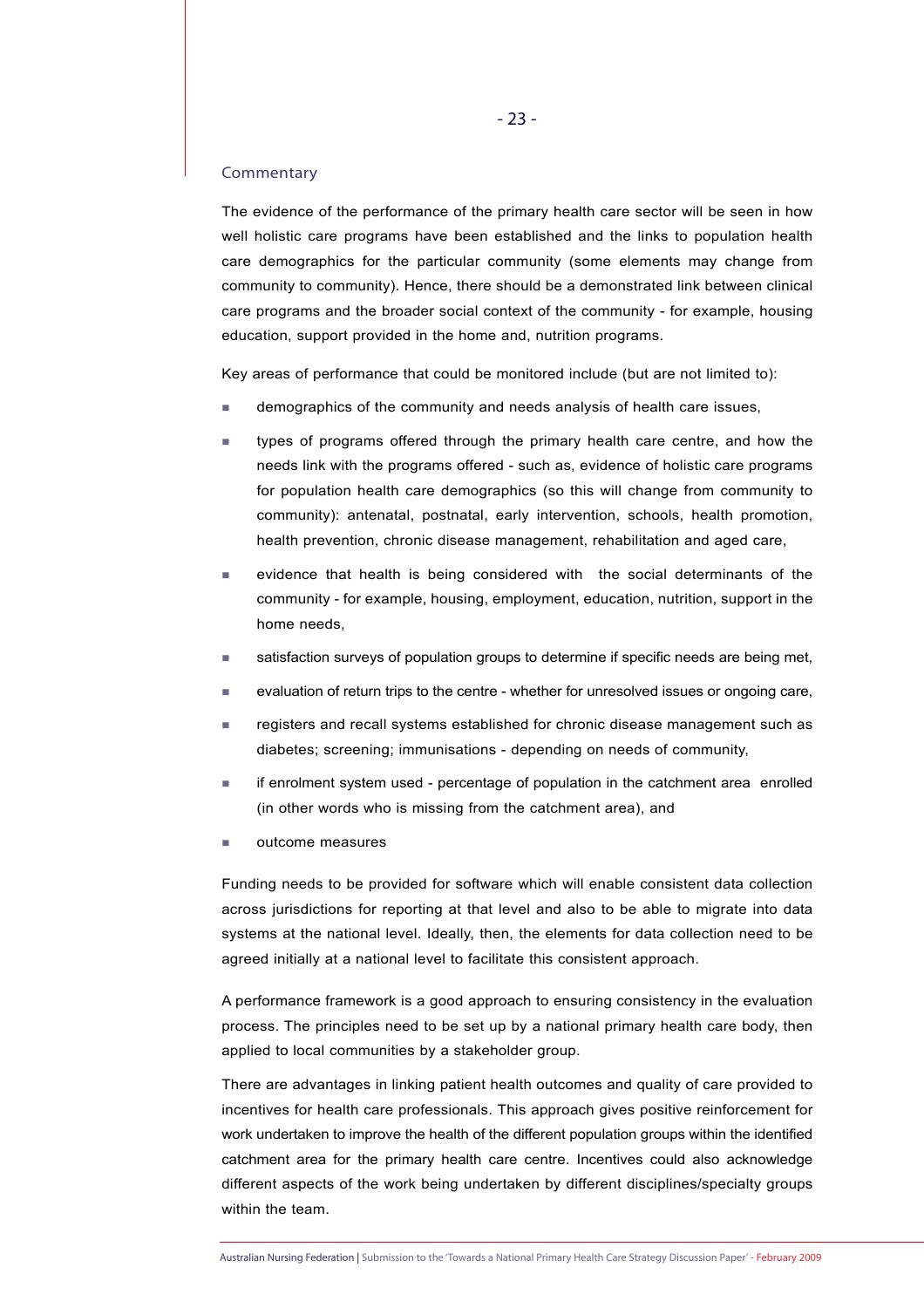#### Commentary

The evidence of the performance of the primary health care sector will be seen in how well holistic care programs have been established and the links to population health care demographics for the particular community (some elements may change from community to community). Hence, there should be a demonstrated link between clinical care programs and the broader social context of the community - for example, housing education, support provided in the home and, nutrition programs.

Key areas of performance that could be monitored include (but are not limited to):

- demographics of the community and needs analysis of health care issues,
- types of programs offered through the primary health care centre, and how the needs link with the programs offered - such as, evidence of holistic care programs for population health care demographics (so this will change from community to community): antenatal, postnatal, early intervention, schools, health promotion, health prevention, chronic disease management, rehabilitation and aged care,
- **EXEC** evidence that health is being considered with the social determinants of the community - for example, housing, employment, education, nutrition, support in the home needs,
- satisfaction surveys of population groups to determine if specific needs are being met,
- evaluation of return trips to the centre whether for unresolved issues or ongoing care,
- registers and recall systems established for chronic disease management such as diabetes; screening; immunisations - depending on needs of community,
- if enrolment system used percentage of population in the catchment area enrolled (in other words who is missing from the catchment area), and
- outcome measures

Funding needs to be provided for software which will enable consistent data collection across jurisdictions for reporting at that level and also to be able to migrate into data systems at the national level. Ideally, then, the elements for data collection need to be agreed initially at a national level to facilitate this consistent approach.

A performance framework is a good approach to ensuring consistency in the evaluation process. The principles need to be set up by a national primary health care body, then applied to local communities by a stakeholder group.

There are advantages in linking patient health outcomes and quality of care provided to incentives for health care professionals. This approach gives positive reinforcement for work undertaken to improve the health of the different population groups within the identified catchment area for the primary health care centre. Incentives could also acknowledge different aspects of the work being undertaken by different disciplines/specialty groups within the team.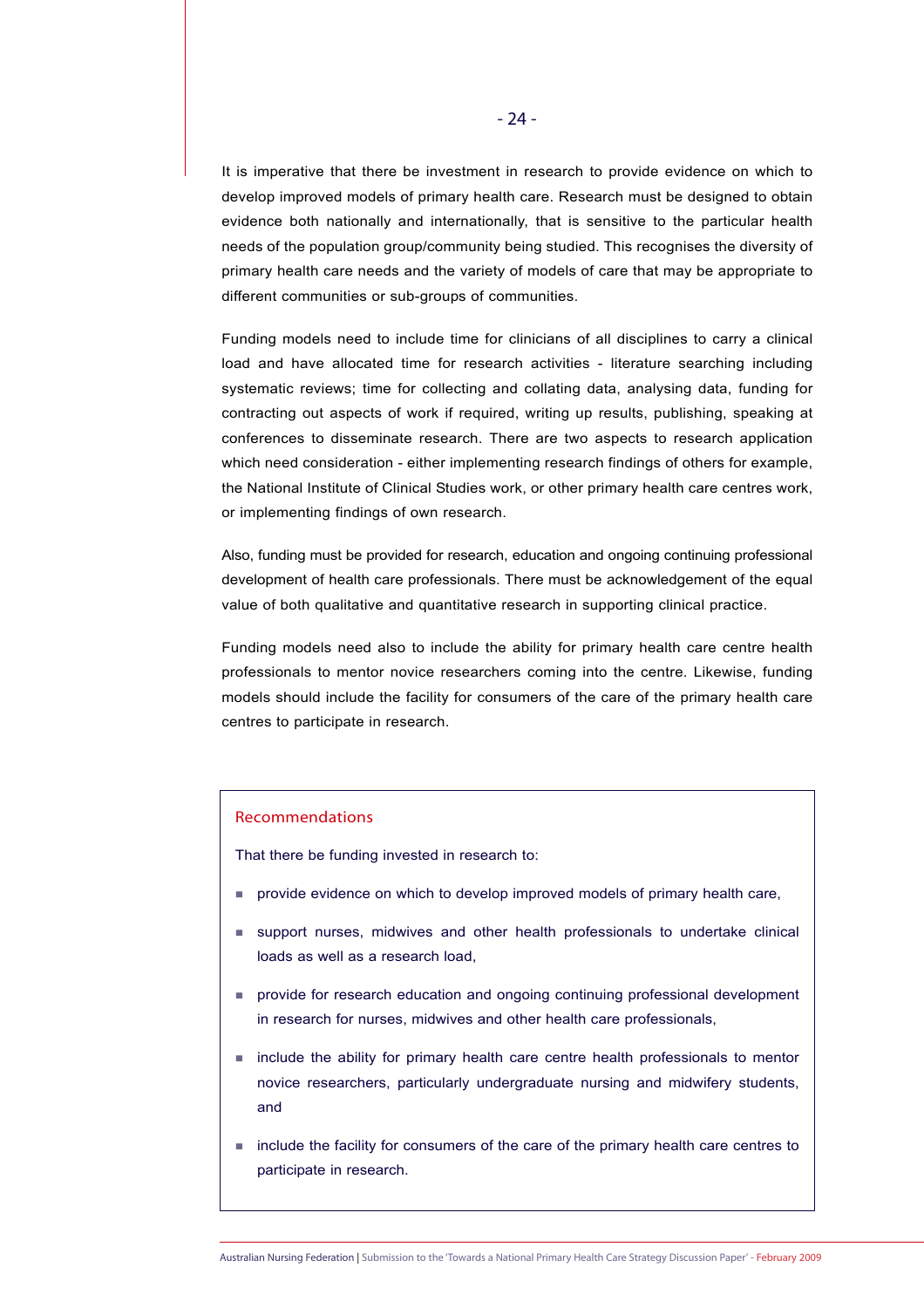It is imperative that there be investment in research to provide evidence on which to develop improved models of primary health care. Research must be designed to obtain evidence both nationally and internationally, that is sensitive to the particular health needs of the population group/community being studied. This recognises the diversity of primary health care needs and the variety of models of care that may be appropriate to different communities or sub-groups of communities.

Funding models need to include time for clinicians of all disciplines to carry a clinical load and have allocated time for research activities - literature searching including systematic reviews; time for collecting and collating data, analysing data, funding for contracting out aspects of work if required, writing up results, publishing, speaking at conferences to disseminate research. There are two aspects to research application which need consideration - either implementing research findings of others for example, the National Institute of Clinical Studies work, or other primary health care centres work, or implementing findings of own research.

Also, funding must be provided for research, education and ongoing continuing professional development of health care professionals. There must be acknowledgement of the equal value of both qualitative and quantitative research in supporting clinical practice.

Funding models need also to include the ability for primary health care centre health professionals to mentor novice researchers coming into the centre. Likewise, funding models should include the facility for consumers of the care of the primary health care centres to participate in research.

#### Recommendations

That there be funding invested in research to:

- **provide evidence on which to develop improved models of primary health care,**
- support nurses, midwives and other health professionals to undertake clinical loads as well as a research load,
- **Provide for research education and ongoing continuing professional development** in research for nurses, midwives and other health care professionals,
- include the ability for primary health care centre health professionals to mentor novice researchers, particularly undergraduate nursing and midwifery students, and
- include the facility for consumers of the care of the primary health care centres to participate in research.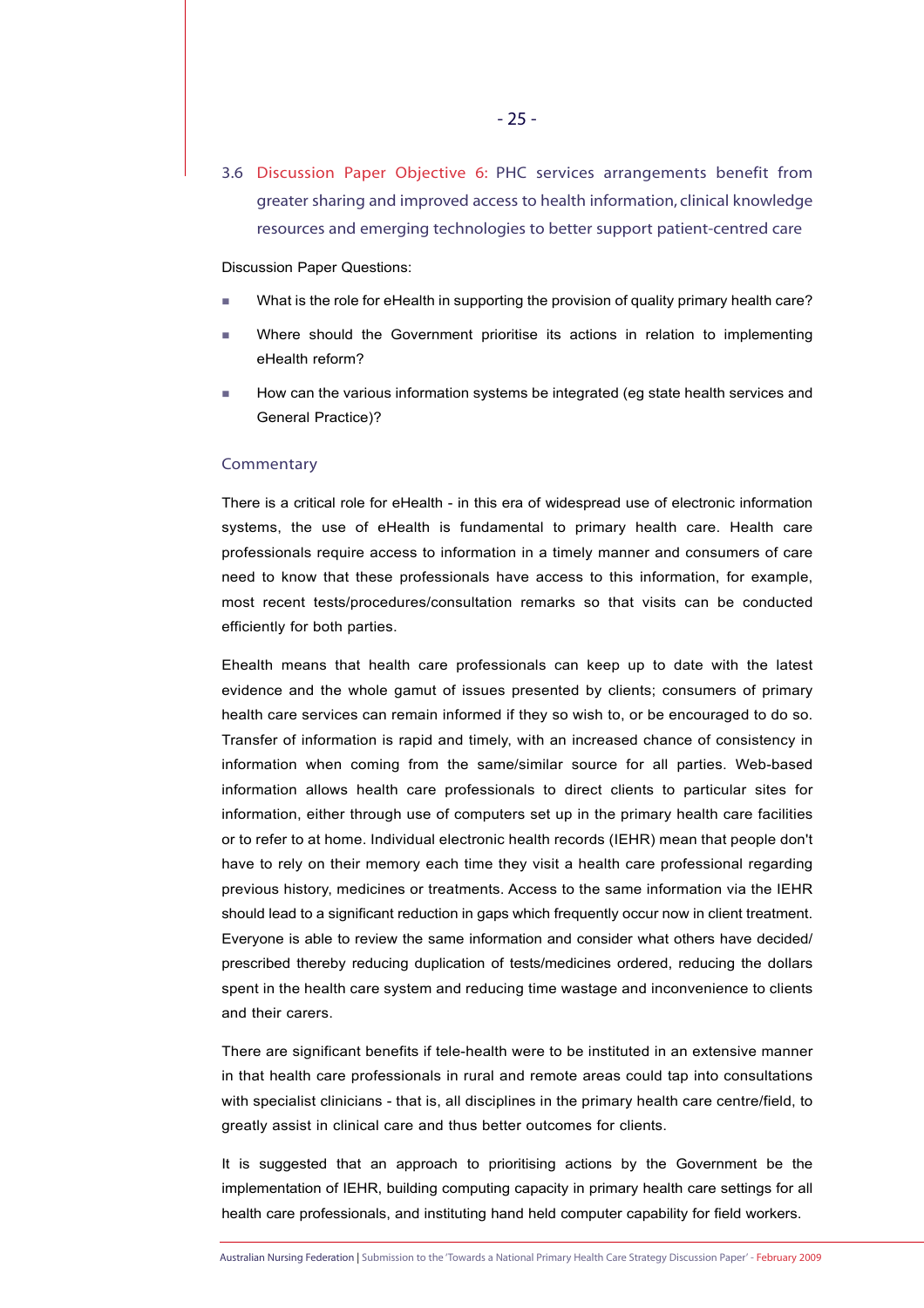3.6 Discussion Paper Objective 6: PHC services arrangements benefit from greater sharing and improved access to health information, clinical knowledge resources and emerging technologies to better support patient-centred care

#### Discussion Paper Questions:

- What is the role for eHealth in supporting the provision of quality primary health care?
- Where should the Government prioritise its actions in relation to implementing eHealth reform?
- How can the various information systems be integrated (eg state health services and General Practice)?

#### **Commentary**

There is a critical role for eHealth - in this era of widespread use of electronic information systems, the use of eHealth is fundamental to primary health care. Health care professionals require access to information in a timely manner and consumers of care need to know that these professionals have access to this information, for example, most recent tests/procedures/consultation remarks so that visits can be conducted efficiently for both parties.

Ehealth means that health care professionals can keep up to date with the latest evidence and the whole gamut of issues presented by clients; consumers of primary health care services can remain informed if they so wish to, or be encouraged to do so. Transfer of information is rapid and timely, with an increased chance of consistency in information when coming from the same/similar source for all parties. Web-based information allows health care professionals to direct clients to particular sites for information, either through use of computers set up in the primary health care facilities or to refer to at home. Individual electronic health records (IEHR) mean that people don't have to rely on their memory each time they visit a health care professional regarding previous history, medicines or treatments. Access to the same information via the IEHR should lead to a significant reduction in gaps which frequently occur now in client treatment. Everyone is able to review the same information and consider what others have decided/ prescribed thereby reducing duplication of tests/medicines ordered, reducing the dollars spent in the health care system and reducing time wastage and inconvenience to clients and their carers.

There are significant benefits if tele-health were to be instituted in an extensive manner in that health care professionals in rural and remote areas could tap into consultations with specialist clinicians - that is, all disciplines in the primary health care centre/field, to greatly assist in clinical care and thus better outcomes for clients.

It is suggested that an approach to prioritising actions by the Government be the implementation of IEHR, building computing capacity in primary health care settings for all health care professionals, and instituting hand held computer capability for field workers.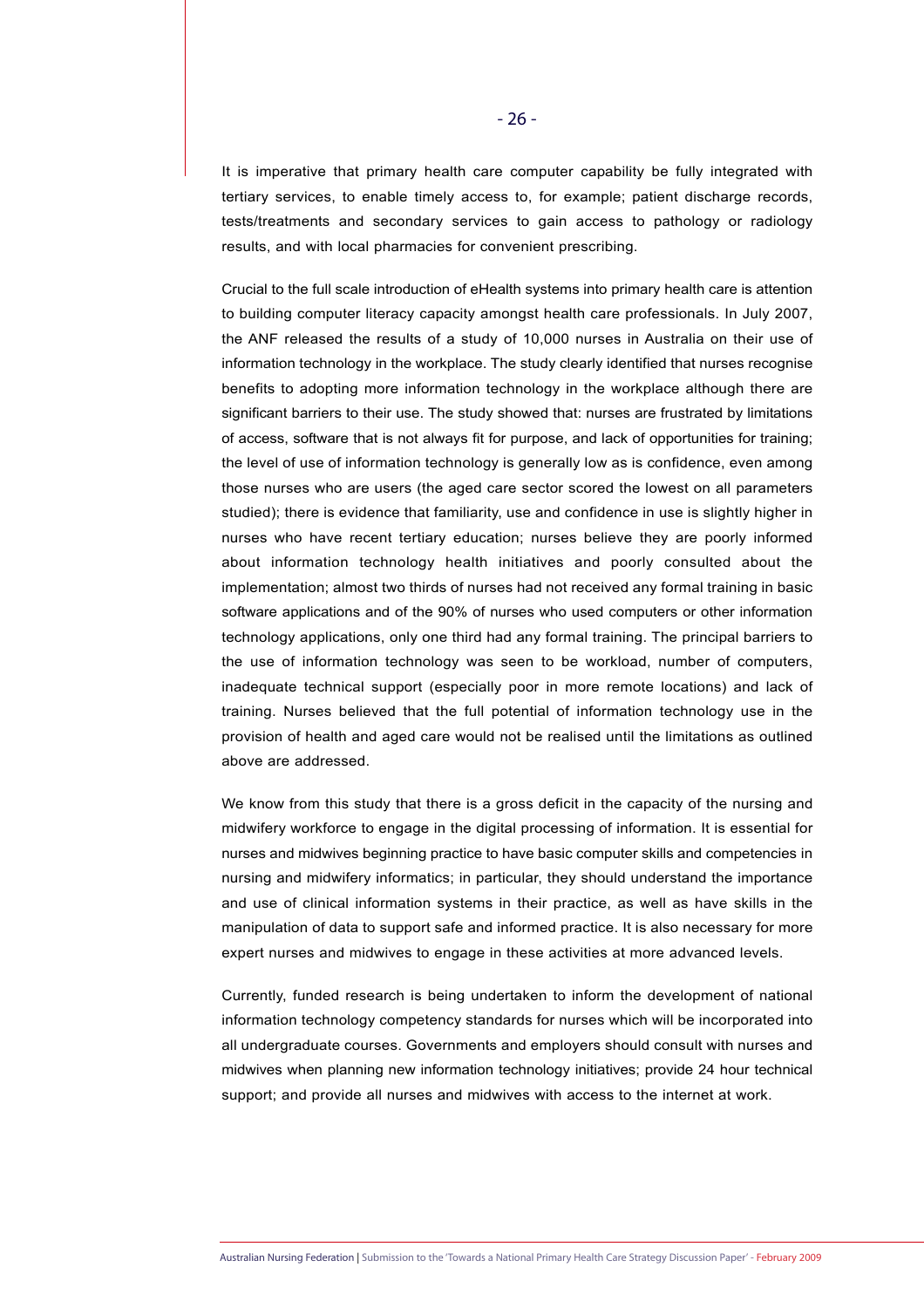It is imperative that primary health care computer capability be fully integrated with tertiary services, to enable timely access to, for example; patient discharge records, tests/treatments and secondary services to gain access to pathology or radiology results, and with local pharmacies for convenient prescribing.

Crucial to the full scale introduction of eHealth systems into primary health care is attention to building computer literacy capacity amongst health care professionals. In July 2007, the ANF released the results of a study of 10,000 nurses in Australia on their use of information technology in the workplace. The study clearly identified that nurses recognise benefits to adopting more information technology in the workplace although there are significant barriers to their use. The study showed that: nurses are frustrated by limitations of access, software that is not always fit for purpose, and lack of opportunities for training; the level of use of information technology is generally low as is confidence, even among those nurses who are users (the aged care sector scored the lowest on all parameters studied); there is evidence that familiarity, use and confidence in use is slightly higher in nurses who have recent tertiary education; nurses believe they are poorly informed about information technology health initiatives and poorly consulted about the implementation; almost two thirds of nurses had not received any formal training in basic software applications and of the 90% of nurses who used computers or other information technology applications, only one third had any formal training. The principal barriers to the use of information technology was seen to be workload, number of computers, inadequate technical support (especially poor in more remote locations) and lack of training. Nurses believed that the full potential of information technology use in the provision of health and aged care would not be realised until the limitations as outlined above are addressed.

We know from this study that there is a gross deficit in the capacity of the nursing and midwifery workforce to engage in the digital processing of information. It is essential for nurses and midwives beginning practice to have basic computer skills and competencies in nursing and midwifery informatics; in particular, they should understand the importance and use of clinical information systems in their practice, as well as have skills in the manipulation of data to support safe and informed practice. It is also necessary for more expert nurses and midwives to engage in these activities at more advanced levels.

Currently, funded research is being undertaken to inform the development of national information technology competency standards for nurses which will be incorporated into all undergraduate courses. Governments and employers should consult with nurses and midwives when planning new information technology initiatives; provide 24 hour technical support; and provide all nurses and midwives with access to the internet at work.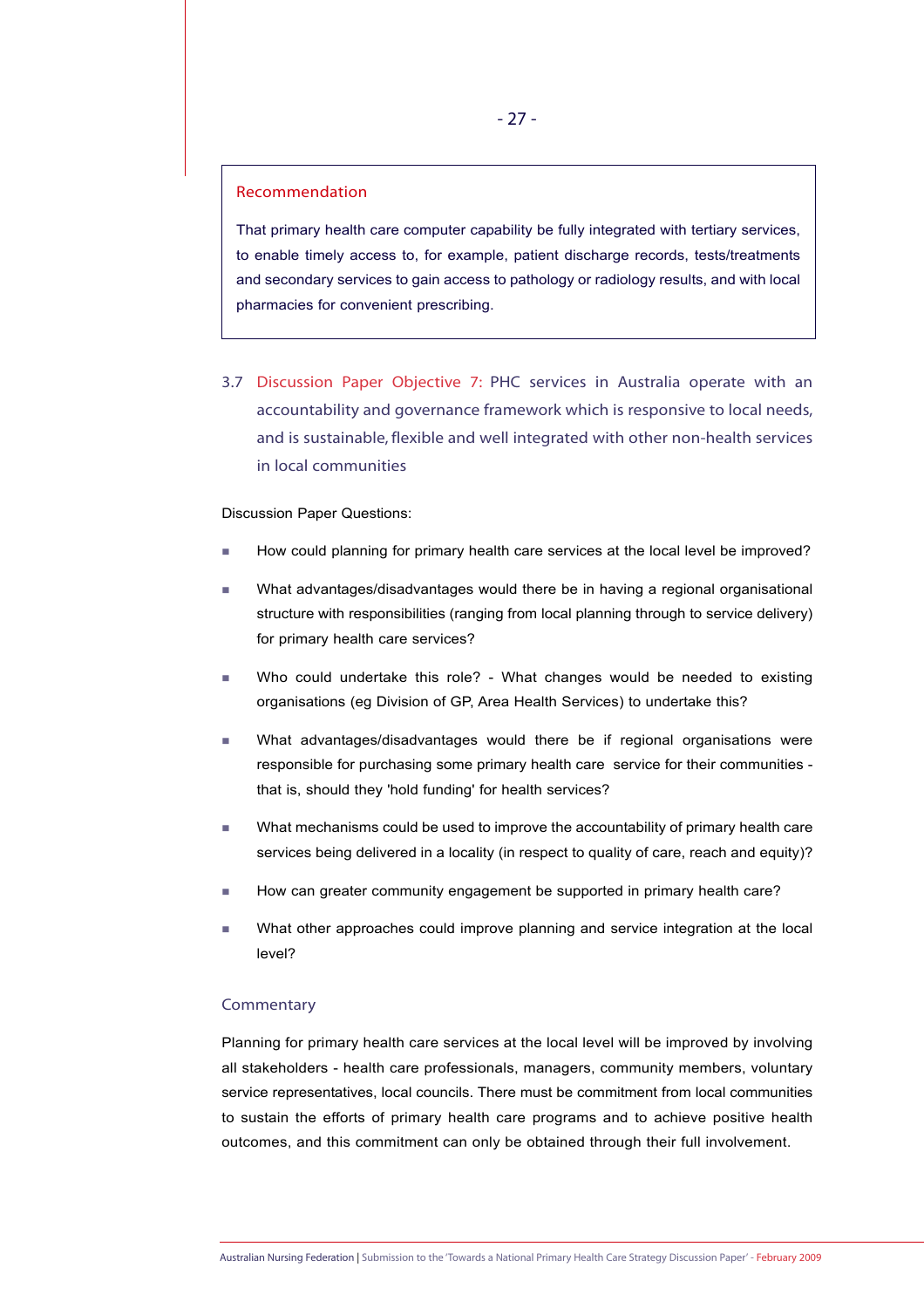# Recommendation

That primary health care computer capability be fully integrated with tertiary services, to enable timely access to, for example, patient discharge records, tests/treatments and secondary services to gain access to pathology or radiology results, and with local pharmacies for convenient prescribing.

3.7 Discussion Paper Objective 7: PHC services in Australia operate with an accountability and governance framework which is responsive to local needs, and is sustainable, flexible and well integrated with other non-health services in local communities

#### Discussion Paper Questions:

- How could planning for primary health care services at the local level be improved?
- What advantages/disadvantages would there be in having a regional organisational structure with responsibilities (ranging from local planning through to service delivery) for primary health care services?
- Who could undertake this role? What changes would be needed to existing organisations (eg Division of GP, Area Health Services) to undertake this?
- What advantages/disadvantages would there be if regional organisations were responsible for purchasing some primary health care service for their communities that is, should they 'hold funding' for health services?
- What mechanisms could be used to improve the accountability of primary health care services being delivered in a locality (in respect to quality of care, reach and equity)?
- How can greater community engagement be supported in primary health care?
- What other approaches could improve planning and service integration at the local level?

#### **Commentary**

Planning for primary health care services at the local level will be improved by involving all stakeholders - health care professionals, managers, community members, voluntary service representatives, local councils. There must be commitment from local communities to sustain the efforts of primary health care programs and to achieve positive health outcomes, and this commitment can only be obtained through their full involvement.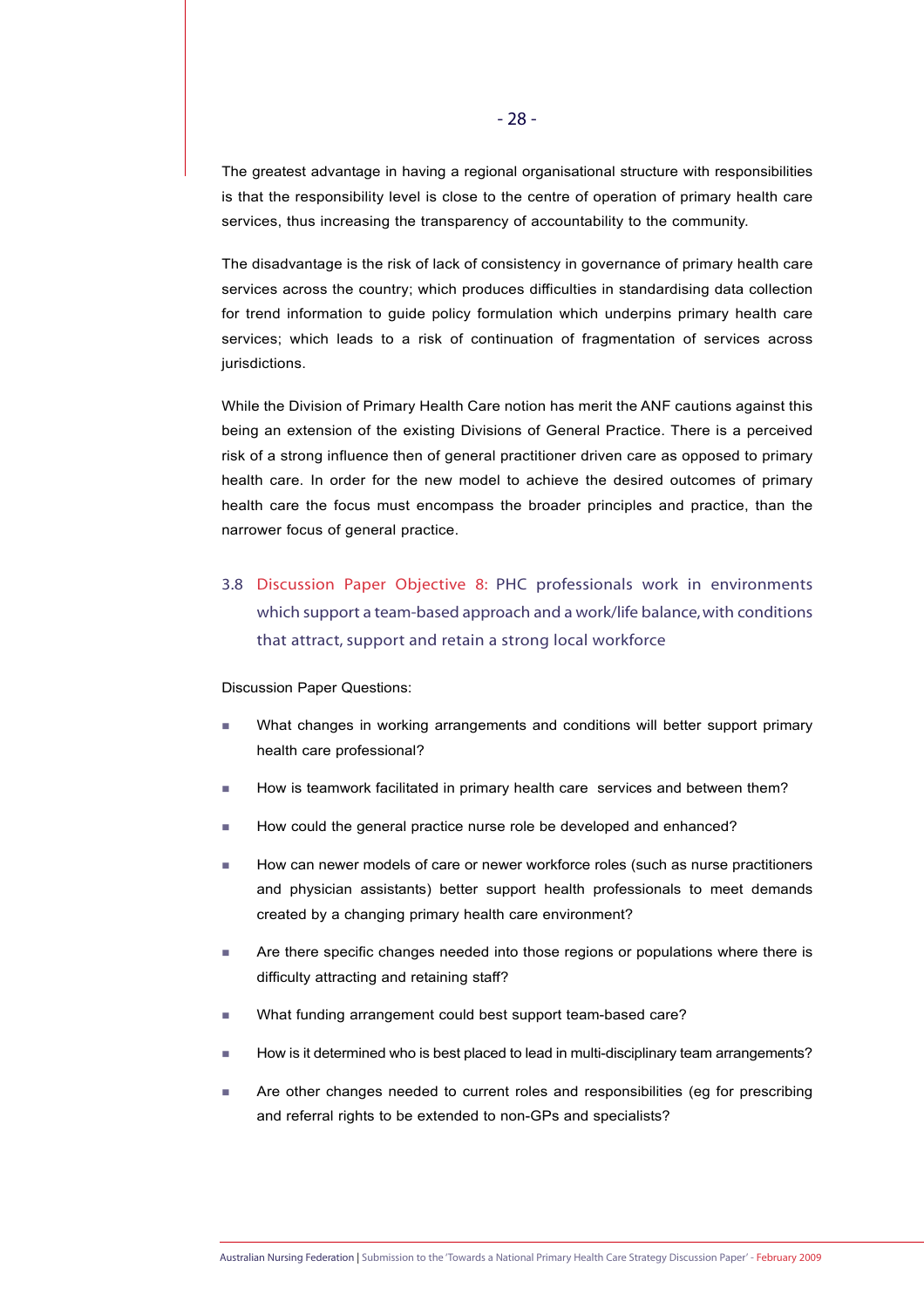The greatest advantage in having a regional organisational structure with responsibilities is that the responsibility level is close to the centre of operation of primary health care services, thus increasing the transparency of accountability to the community.

The disadvantage is the risk of lack of consistency in governance of primary health care services across the country; which produces difficulties in standardising data collection for trend information to guide policy formulation which underpins primary health care services; which leads to a risk of continuation of fragmentation of services across jurisdictions.

While the Division of Primary Health Care notion has merit the ANF cautions against this being an extension of the existing Divisions of General Practice. There is a perceived risk of a strong influence then of general practitioner driven care as opposed to primary health care. In order for the new model to achieve the desired outcomes of primary health care the focus must encompass the broader principles and practice, than the narrower focus of general practice.

3.8 Discussion Paper Objective 8: PHC professionals work in environments which support a team-based approach and a work/life balance, with conditions that attract, support and retain a strong local workforce

#### Discussion Paper Questions:

- **Nhat changes in working arrangements and conditions will better support primary** health care professional?
- How is teamwork facilitated in primary health care services and between them?
- How could the general practice nurse role be developed and enhanced?
- How can newer models of care or newer workforce roles (such as nurse practitioners and physician assistants) better support health professionals to meet demands created by a changing primary health care environment?
- **Are there specific changes needed into those regions or populations where there is** difficulty attracting and retaining staff?
- What funding arrangement could best support team-based care?
- How is it determined who is best placed to lead in multi-disciplinary team arrangements?
- Are other changes needed to current roles and responsibilities (eg for prescribing and referral rights to be extended to non-GPs and specialists?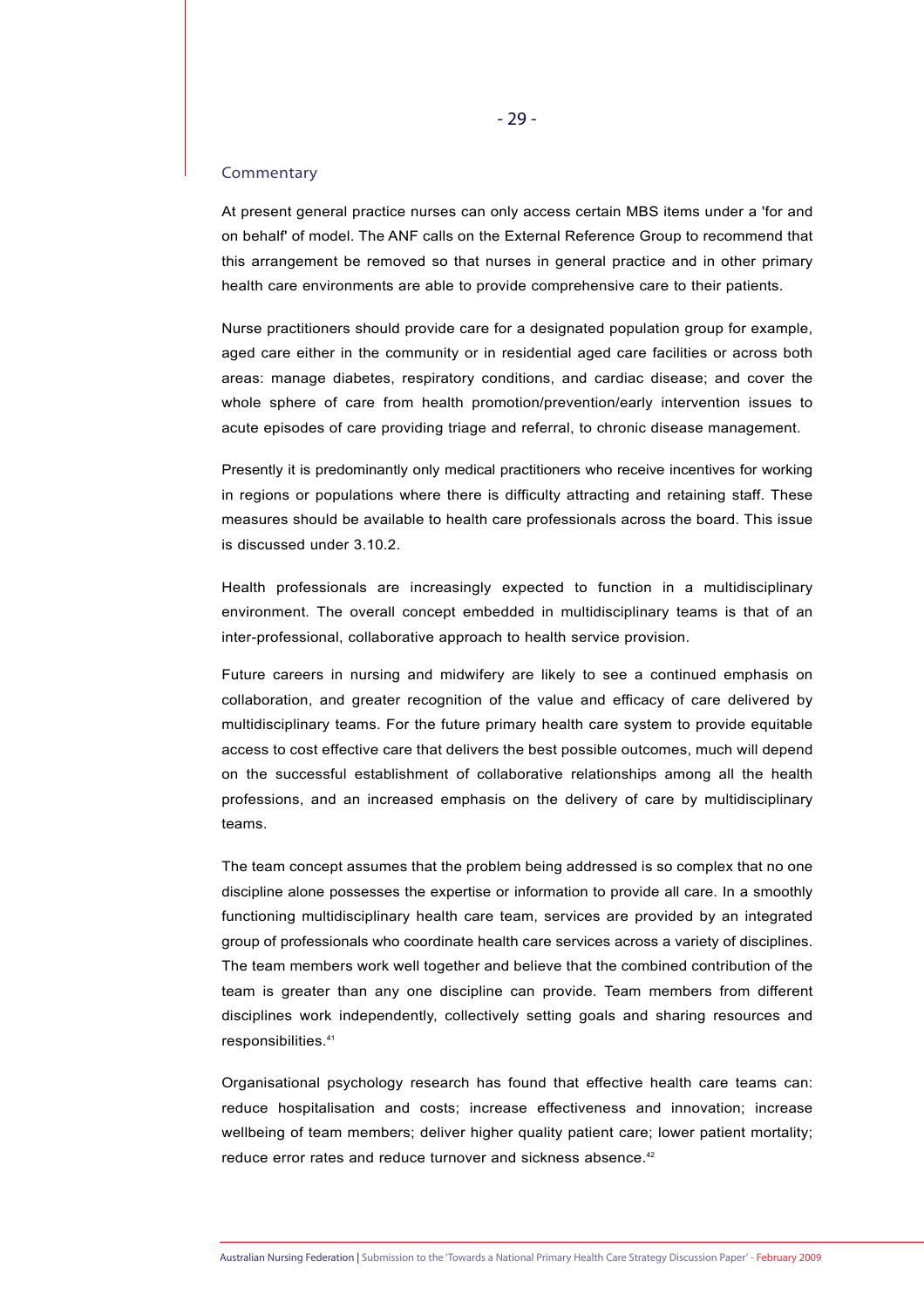#### Commentary

At present general practice nurses can only access certain MBS items under a 'for and on behalf' of model. The ANF calls on the External Reference Group to recommend that this arrangement be removed so that nurses in general practice and in other primary health care environments are able to provide comprehensive care to their patients.

Nurse practitioners should provide care for a designated population group for example, aged care either in the community or in residential aged care facilities or across both areas: manage diabetes, respiratory conditions, and cardiac disease; and cover the whole sphere of care from health promotion/prevention/early intervention issues to acute episodes of care providing triage and referral, to chronic disease management.

Presently it is predominantly only medical practitioners who receive incentives for working in regions or populations where there is difficulty attracting and retaining staff. These measures should be available to health care professionals across the board. This issue is discussed under 3.10.2.

Health professionals are increasingly expected to function in a multidisciplinary environment. The overall concept embedded in multidisciplinary teams is that of an inter-professional, collaborative approach to health service provision.

Future careers in nursing and midwifery are likely to see a continued emphasis on collaboration, and greater recognition of the value and efficacy of care delivered by multidisciplinary teams. For the future primary health care system to provide equitable access to cost effective care that delivers the best possible outcomes, much will depend on the successful establishment of collaborative relationships among all the health professions, and an increased emphasis on the delivery of care by multidisciplinary teams.

The team concept assumes that the problem being addressed is so complex that no one discipline alone possesses the expertise or information to provide all care. In a smoothly functioning multidisciplinary health care team, services are provided by an integrated group of professionals who coordinate health care services across a variety of disciplines. The team members work well together and believe that the combined contribution of the team is greater than any one discipline can provide. Team members from different disciplines work independently, collectively setting goals and sharing resources and responsibilities.41

Organisational psychology research has found that effective health care teams can: reduce hospitalisation and costs; increase effectiveness and innovation; increase wellbeing of team members; deliver higher quality patient care; lower patient mortality; reduce error rates and reduce turnover and sickness absence.<sup>42</sup>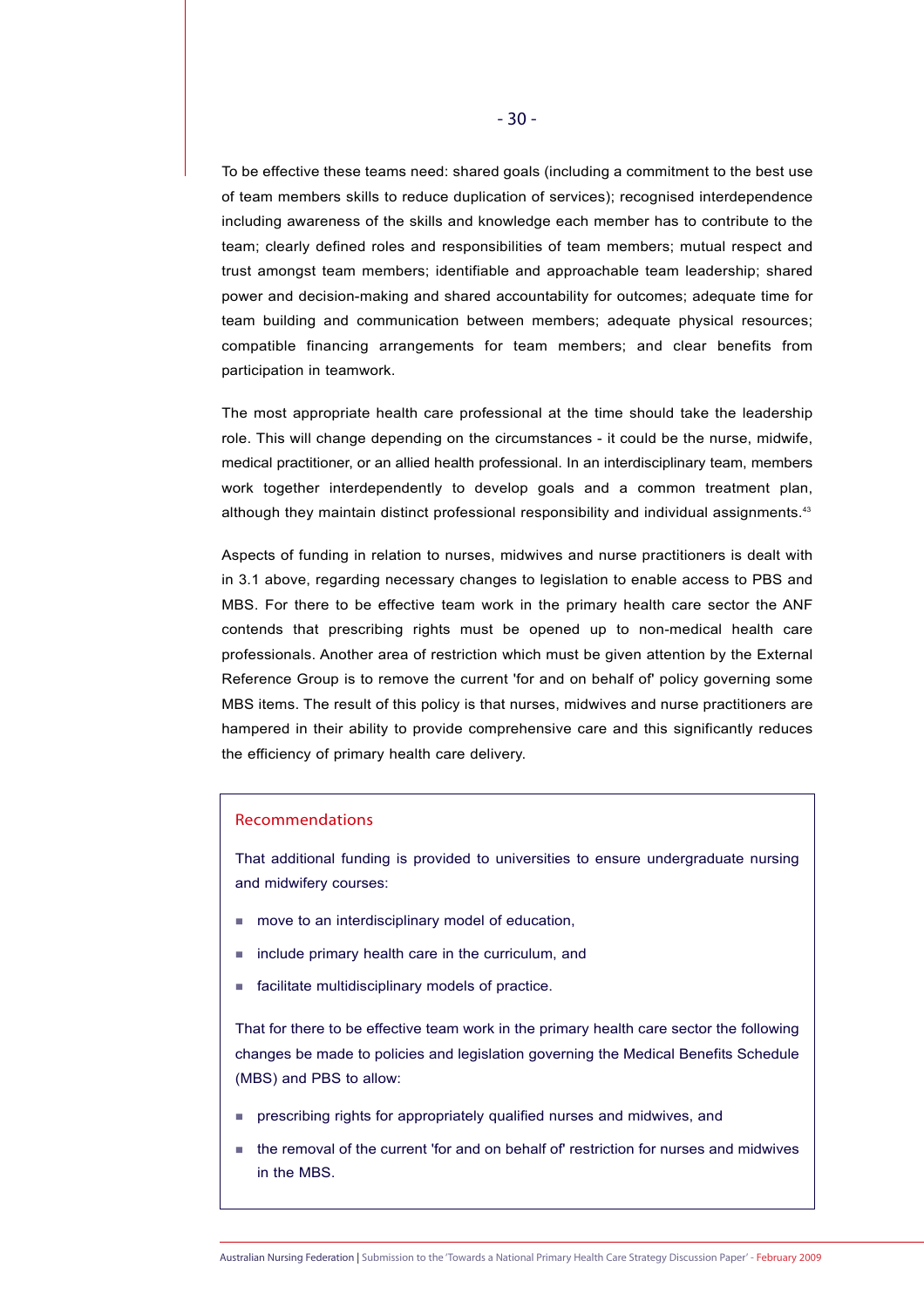To be effective these teams need: shared goals (including a commitment to the best use of team members skills to reduce duplication of services); recognised interdependence including awareness of the skills and knowledge each member has to contribute to the team; clearly defined roles and responsibilities of team members; mutual respect and trust amongst team members; identifiable and approachable team leadership; shared power and decision-making and shared accountability for outcomes; adequate time for team building and communication between members; adequate physical resources; compatible financing arrangements for team members; and clear benefits from participation in teamwork.

The most appropriate health care professional at the time should take the leadership role. This will change depending on the circumstances - it could be the nurse, midwife, medical practitioner, or an allied health professional. In an interdisciplinary team, members work together interdependently to develop goals and a common treatment plan, although they maintain distinct professional responsibility and individual assignments.<sup>43</sup>

Aspects of funding in relation to nurses, midwives and nurse practitioners is dealt with in 3.1 above, regarding necessary changes to legislation to enable access to PBS and MBS. For there to be effective team work in the primary health care sector the ANF contends that prescribing rights must be opened up to non-medical health care professionals. Another area of restriction which must be given attention by the External Reference Group is to remove the current 'for and on behalf of' policy governing some MBS items. The result of this policy is that nurses, midwives and nurse practitioners are hampered in their ability to provide comprehensive care and this significantly reduces the efficiency of primary health care delivery.

# Recommendations

That additional funding is provided to universities to ensure undergraduate nursing and midwifery courses:

- move to an interdisciplinary model of education,
- include primary health care in the curriculum, and
- facilitate multidisciplinary models of practice.

That for there to be effective team work in the primary health care sector the following changes be made to policies and legislation governing the Medical Benefits Schedule (MBS) and PBS to allow:

- prescribing rights for appropriately qualified nurses and midwives, and
- the removal of the current 'for and on behalf of' restriction for nurses and midwives in the MBS.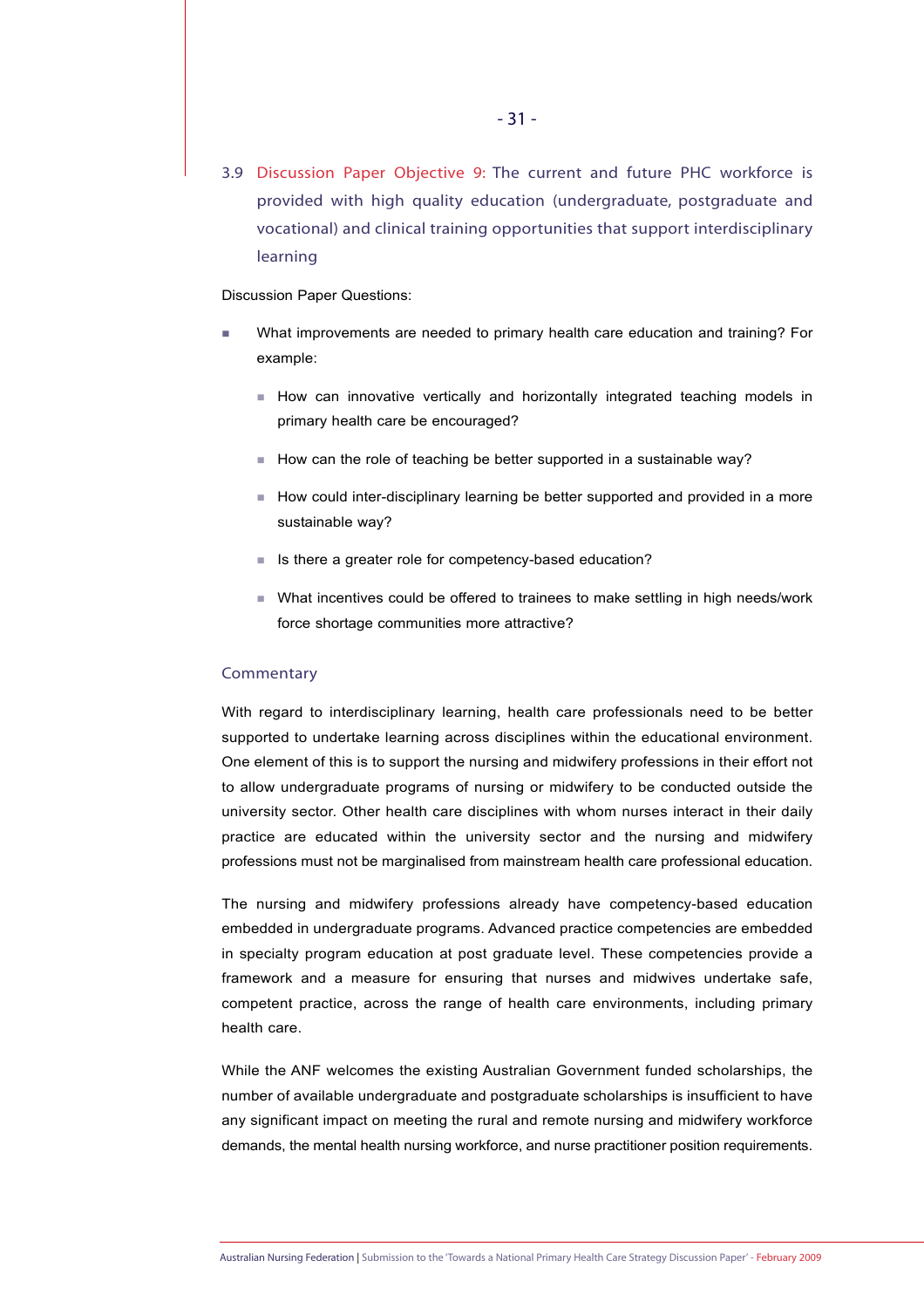3.9 Discussion Paper Objective 9: The current and future PHC workforce is provided with high quality education (undergraduate, postgraduate and vocational) and clinical training opportunities that support interdisciplinary learning

Discussion Paper Questions:

- What improvements are needed to primary health care education and training? For example:
	- How can innovative vertically and horizontally integrated teaching models in primary health care be encouraged?
	- How can the role of teaching be better supported in a sustainable way?
	- $\blacksquare$  How could inter-disciplinary learning be better supported and provided in a more sustainable way?
	- Is there a greater role for competency-based education?
	- What incentives could be offered to trainees to make settling in high needs/work force shortage communities more attractive?

# **Commentary**

With regard to interdisciplinary learning, health care professionals need to be better supported to undertake learning across disciplines within the educational environment. One element of this is to support the nursing and midwifery professions in their effort not to allow undergraduate programs of nursing or midwifery to be conducted outside the university sector. Other health care disciplines with whom nurses interact in their daily practice are educated within the university sector and the nursing and midwifery professions must not be marginalised from mainstream health care professional education.

The nursing and midwifery professions already have competency-based education embedded in undergraduate programs. Advanced practice competencies are embedded in specialty program education at post graduate level. These competencies provide a framework and a measure for ensuring that nurses and midwives undertake safe, competent practice, across the range of health care environments, including primary health care.

While the ANF welcomes the existing Australian Government funded scholarships, the number of available undergraduate and postgraduate scholarships is insufficient to have any significant impact on meeting the rural and remote nursing and midwifery workforce demands, the mental health nursing workforce, and nurse practitioner position requirements.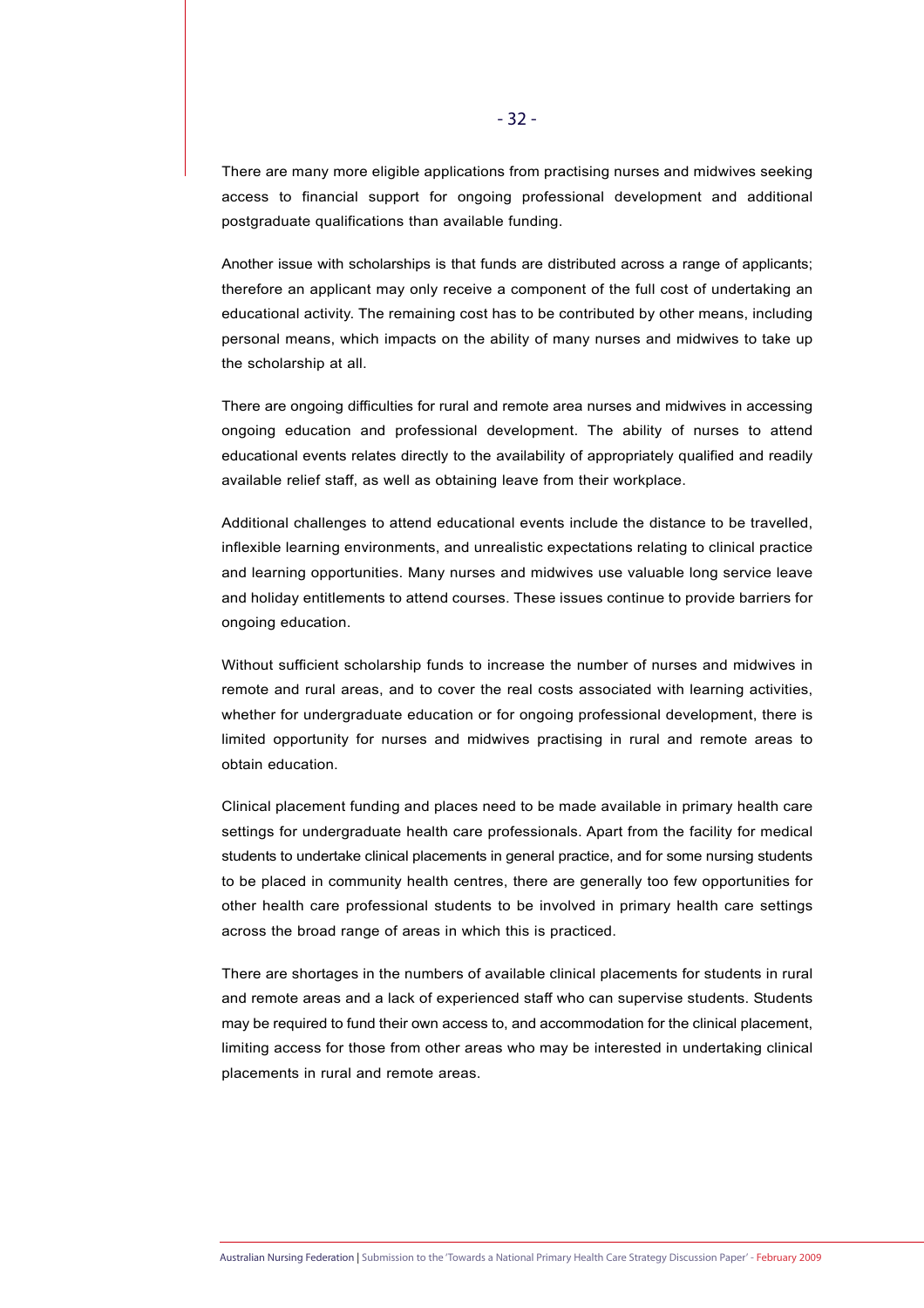There are many more eligible applications from practising nurses and midwives seeking access to financial support for ongoing professional development and additional postgraduate qualifications than available funding.

Another issue with scholarships is that funds are distributed across a range of applicants; therefore an applicant may only receive a component of the full cost of undertaking an educational activity. The remaining cost has to be contributed by other means, including personal means, which impacts on the ability of many nurses and midwives to take up the scholarship at all.

There are ongoing difficulties for rural and remote area nurses and midwives in accessing ongoing education and professional development. The ability of nurses to attend educational events relates directly to the availability of appropriately qualified and readily available relief staff, as well as obtaining leave from their workplace.

Additional challenges to attend educational events include the distance to be travelled, inflexible learning environments, and unrealistic expectations relating to clinical practice and learning opportunities. Many nurses and midwives use valuable long service leave and holiday entitlements to attend courses. These issues continue to provide barriers for ongoing education.

Without sufficient scholarship funds to increase the number of nurses and midwives in remote and rural areas, and to cover the real costs associated with learning activities, whether for undergraduate education or for ongoing professional development, there is limited opportunity for nurses and midwives practising in rural and remote areas to obtain education.

Clinical placement funding and places need to be made available in primary health care settings for undergraduate health care professionals. Apart from the facility for medical students to undertake clinical placements in general practice, and for some nursing students to be placed in community health centres, there are generally too few opportunities for other health care professional students to be involved in primary health care settings across the broad range of areas in which this is practiced.

There are shortages in the numbers of available clinical placements for students in rural and remote areas and a lack of experienced staff who can supervise students. Students may be required to fund their own access to, and accommodation for the clinical placement, limiting access for those from other areas who may be interested in undertaking clinical placements in rural and remote areas.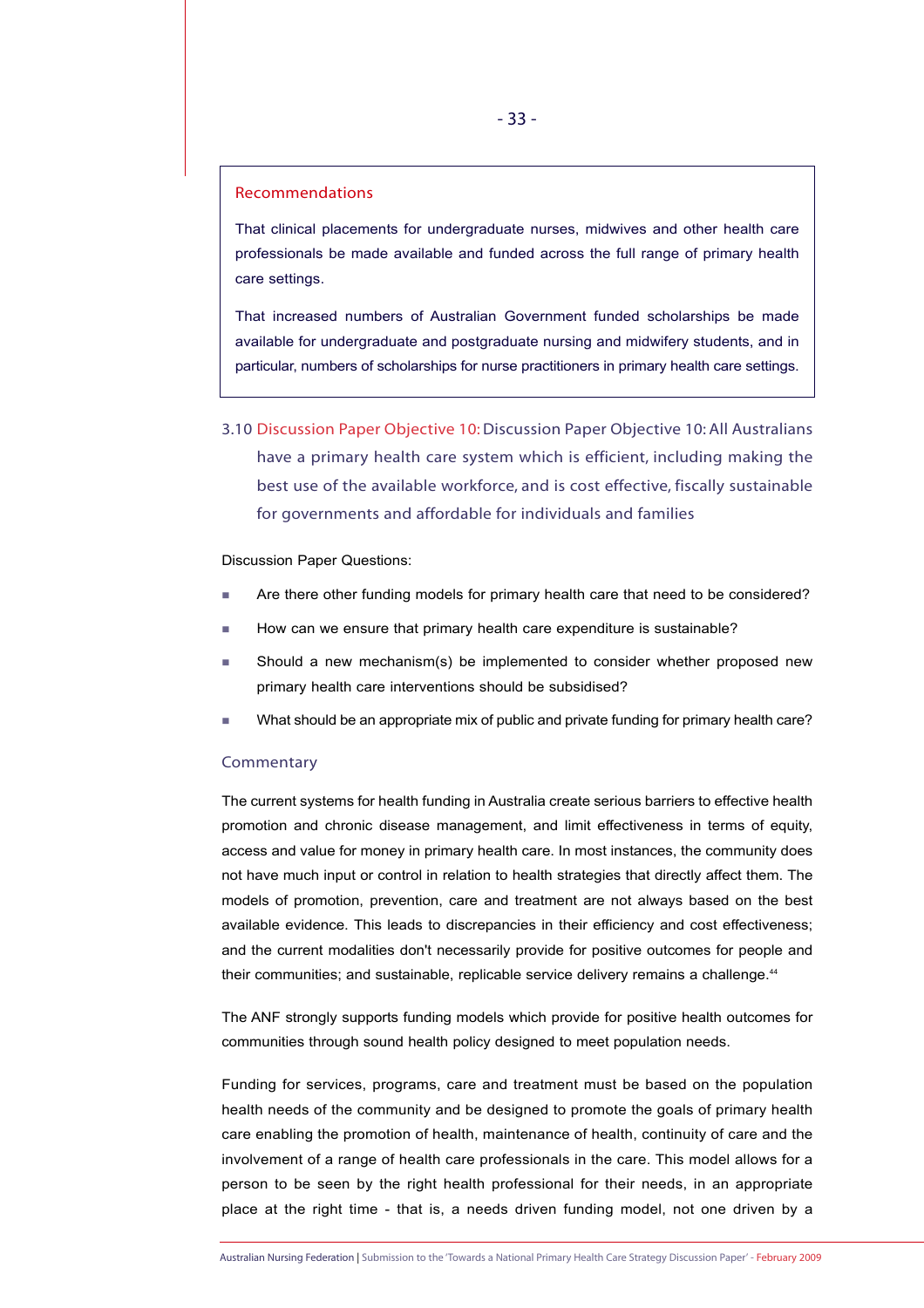# Recommendations

That clinical placements for undergraduate nurses, midwives and other health care professionals be made available and funded across the full range of primary health care settings.

That increased numbers of Australian Government funded scholarships be made available for undergraduate and postgraduate nursing and midwifery students, and in particular, numbers of scholarships for nurse practitioners in primary health care settings.

3.10 Discussion Paper Objective 10:Discussion Paper Objective 10: All Australians have a primary health care system which is efficient, including making the best use of the available workforce, and is cost effective, fiscally sustainable for governments and affordable for individuals and families

Discussion Paper Questions:

- **Are there other funding models for primary health care that need to be considered?**
- How can we ensure that primary health care expenditure is sustainable?
- Should a new mechanism(s) be implemented to consider whether proposed new primary health care interventions should be subsidised?
- What should be an appropriate mix of public and private funding for primary health care?

#### **Commentary**

The current systems for health funding in Australia create serious barriers to effective health promotion and chronic disease management, and limit effectiveness in terms of equity, access and value for money in primary health care. In most instances, the community does not have much input or control in relation to health strategies that directly affect them. The models of promotion, prevention, care and treatment are not always based on the best available evidence. This leads to discrepancies in their efficiency and cost effectiveness; and the current modalities don't necessarily provide for positive outcomes for people and their communities; and sustainable, replicable service delivery remains a challenge.<sup>44</sup>

The ANF strongly supports funding models which provide for positive health outcomes for communities through sound health policy designed to meet population needs.

Funding for services, programs, care and treatment must be based on the population health needs of the community and be designed to promote the goals of primary health care enabling the promotion of health, maintenance of health, continuity of care and the involvement of a range of health care professionals in the care. This model allows for a person to be seen by the right health professional for their needs, in an appropriate place at the right time - that is, a needs driven funding model, not one driven by a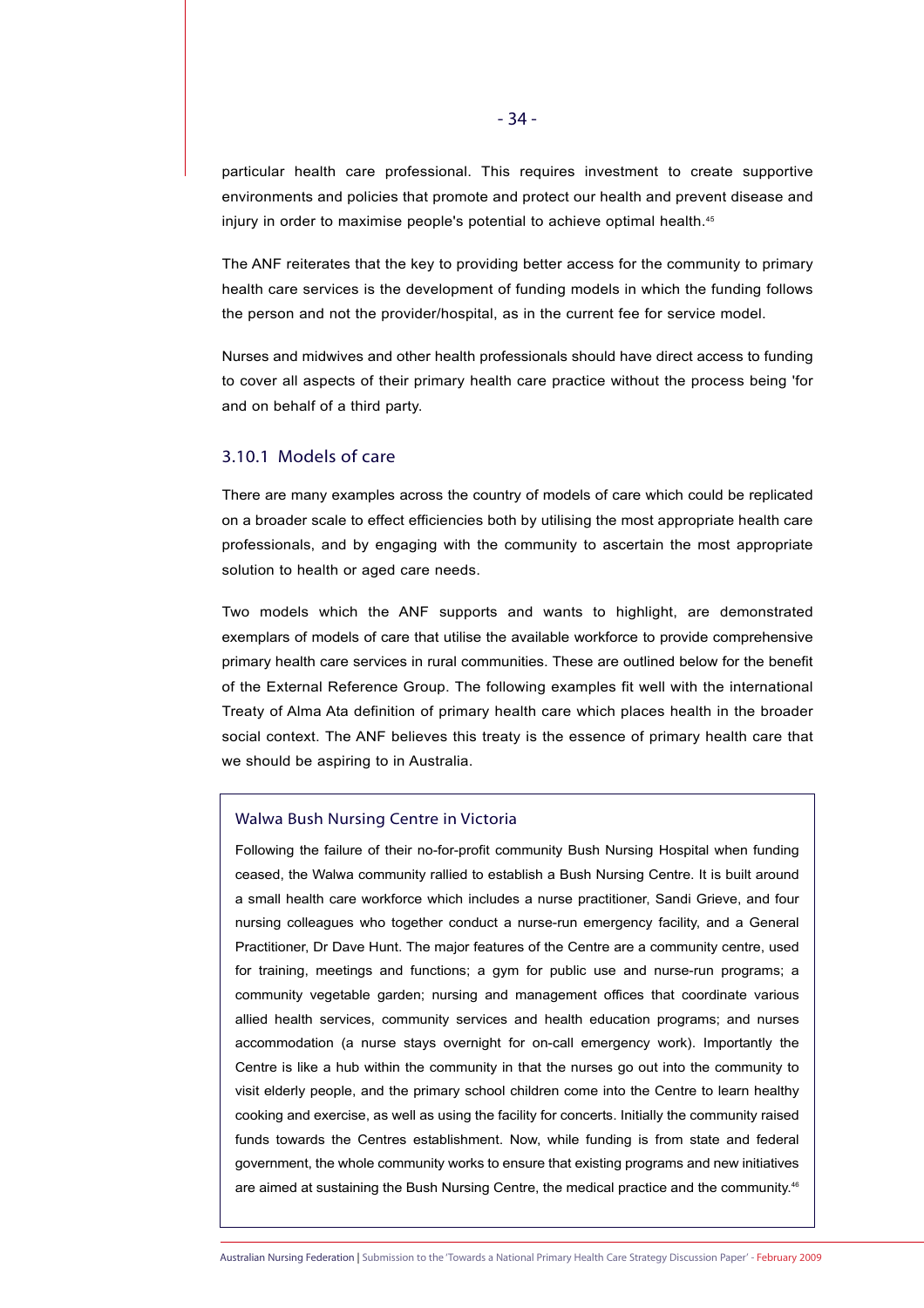particular health care professional. This requires investment to create supportive environments and policies that promote and protect our health and prevent disease and injury in order to maximise people's potential to achieve optimal health.<sup>45</sup>

The ANF reiterates that the key to providing better access for the community to primary health care services is the development of funding models in which the funding follows the person and not the provider/hospital, as in the current fee for service model.

Nurses and midwives and other health professionals should have direct access to funding to cover all aspects of their primary health care practice without the process being 'for and on behalf of a third party.

# 3.10.1 Models of care

There are many examples across the country of models of care which could be replicated on a broader scale to effect efficiencies both by utilising the most appropriate health care professionals, and by engaging with the community to ascertain the most appropriate solution to health or aged care needs.

Two models which the ANF supports and wants to highlight, are demonstrated exemplars of models of care that utilise the available workforce to provide comprehensive primary health care services in rural communities. These are outlined below for the benefit of the External Reference Group. The following examples fit well with the international Treaty of Alma Ata definition of primary health care which places health in the broader social context. The ANF believes this treaty is the essence of primary health care that we should be aspiring to in Australia.

#### Walwa Bush Nursing Centre in Victoria

Following the failure of their no-for-profit community Bush Nursing Hospital when funding ceased, the Walwa community rallied to establish a Bush Nursing Centre. It is built around a small health care workforce which includes a nurse practitioner, Sandi Grieve, and four nursing colleagues who together conduct a nurse-run emergency facility, and a General Practitioner, Dr Dave Hunt. The major features of the Centre are a community centre, used for training, meetings and functions; a gym for public use and nurse-run programs; a community vegetable garden; nursing and management offices that coordinate various allied health services, community services and health education programs; and nurses accommodation (a nurse stays overnight for on-call emergency work). Importantly the Centre is like a hub within the community in that the nurses go out into the community to visit elderly people, and the primary school children come into the Centre to learn healthy cooking and exercise, as well as using the facility for concerts. Initially the community raised funds towards the Centres establishment. Now, while funding is from state and federal government, the whole community works to ensure that existing programs and new initiatives are aimed at sustaining the Bush Nursing Centre, the medical practice and the community.<sup>46</sup>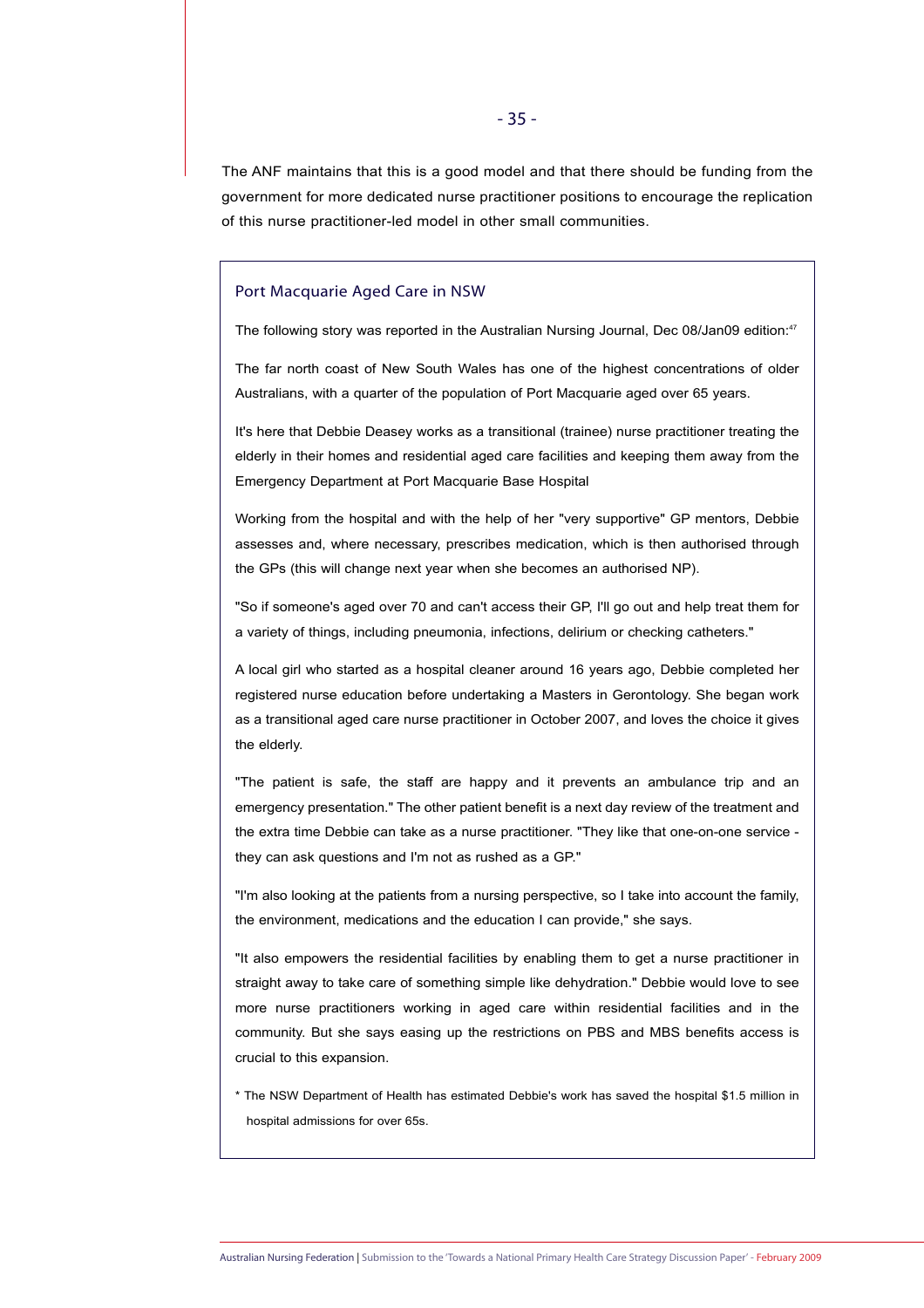The ANF maintains that this is a good model and that there should be funding from the government for more dedicated nurse practitioner positions to encourage the replication of this nurse practitioner-led model in other small communities.

#### Port Macquarie Aged Care in NSW

The following story was reported in the Australian Nursing Journal, Dec 08/Jan09 edition:<sup>47</sup>

The far north coast of New South Wales has one of the highest concentrations of older Australians, with a quarter of the population of Port Macquarie aged over 65 years.

It's here that Debbie Deasey works as a transitional (trainee) nurse practitioner treating the elderly in their homes and residential aged care facilities and keeping them away from the Emergency Department at Port Macquarie Base Hospital

Working from the hospital and with the help of her "very supportive" GP mentors, Debbie assesses and, where necessary, prescribes medication, which is then authorised through the GPs (this will change next year when she becomes an authorised NP).

"So if someone's aged over 70 and can't access their GP, I'll go out and help treat them for a variety of things, including pneumonia, infections, delirium or checking catheters."

A local girl who started as a hospital cleaner around 16 years ago, Debbie completed her registered nurse education before undertaking a Masters in Gerontology. She began work as a transitional aged care nurse practitioner in October 2007, and loves the choice it gives the elderly.

"The patient is safe, the staff are happy and it prevents an ambulance trip and an emergency presentation." The other patient benefit is a next day review of the treatment and the extra time Debbie can take as a nurse practitioner. "They like that one-on-one service they can ask questions and I'm not as rushed as a GP."

"I'm also looking at the patients from a nursing perspective, so I take into account the family, the environment, medications and the education I can provide," she says.

"It also empowers the residential facilities by enabling them to get a nurse practitioner in straight away to take care of something simple like dehydration." Debbie would love to see more nurse practitioners working in aged care within residential facilities and in the community. But she says easing up the restrictions on PBS and MBS benefits access is crucial to this expansion.

\* The NSW Department of Health has estimated Debbie's work has saved the hospital \$1.5 million in hospital admissions for over 65s.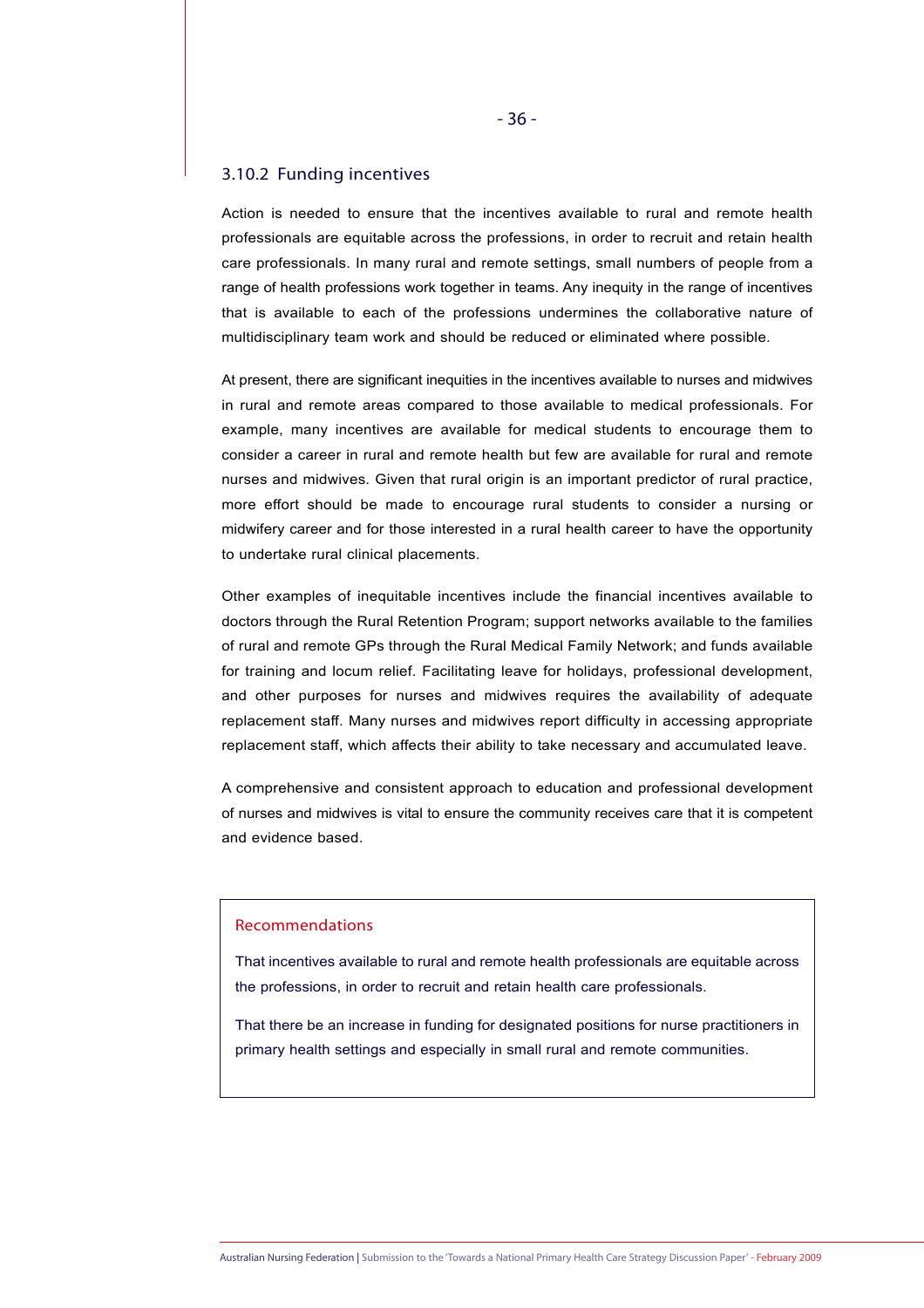# 3.10.2 Funding incentives

Action is needed to ensure that the incentives available to rural and remote health professionals are equitable across the professions, in order to recruit and retain health care professionals. In many rural and remote settings, small numbers of people from a range of health professions work together in teams. Any inequity in the range of incentives that is available to each of the professions undermines the collaborative nature of multidisciplinary team work and should be reduced or eliminated where possible.

At present, there are significant inequities in the incentives available to nurses and midwives in rural and remote areas compared to those available to medical professionals. For example, many incentives are available for medical students to encourage them to consider a career in rural and remote health but few are available for rural and remote nurses and midwives. Given that rural origin is an important predictor of rural practice, more effort should be made to encourage rural students to consider a nursing or midwifery career and for those interested in a rural health career to have the opportunity to undertake rural clinical placements.

Other examples of inequitable incentives include the financial incentives available to doctors through the Rural Retention Program; support networks available to the families of rural and remote GPs through the Rural Medical Family Network; and funds available for training and locum relief. Facilitating leave for holidays, professional development, and other purposes for nurses and midwives requires the availability of adequate replacement staff. Many nurses and midwives report difficulty in accessing appropriate replacement staff, which affects their ability to take necessary and accumulated leave.

A comprehensive and consistent approach to education and professional development of nurses and midwives is vital to ensure the community receives care that it is competent and evidence based.

# Recommendations

That incentives available to rural and remote health professionals are equitable across the professions, in order to recruit and retain health care professionals.

That there be an increase in funding for designated positions for nurse practitioners in primary health settings and especially in small rural and remote communities.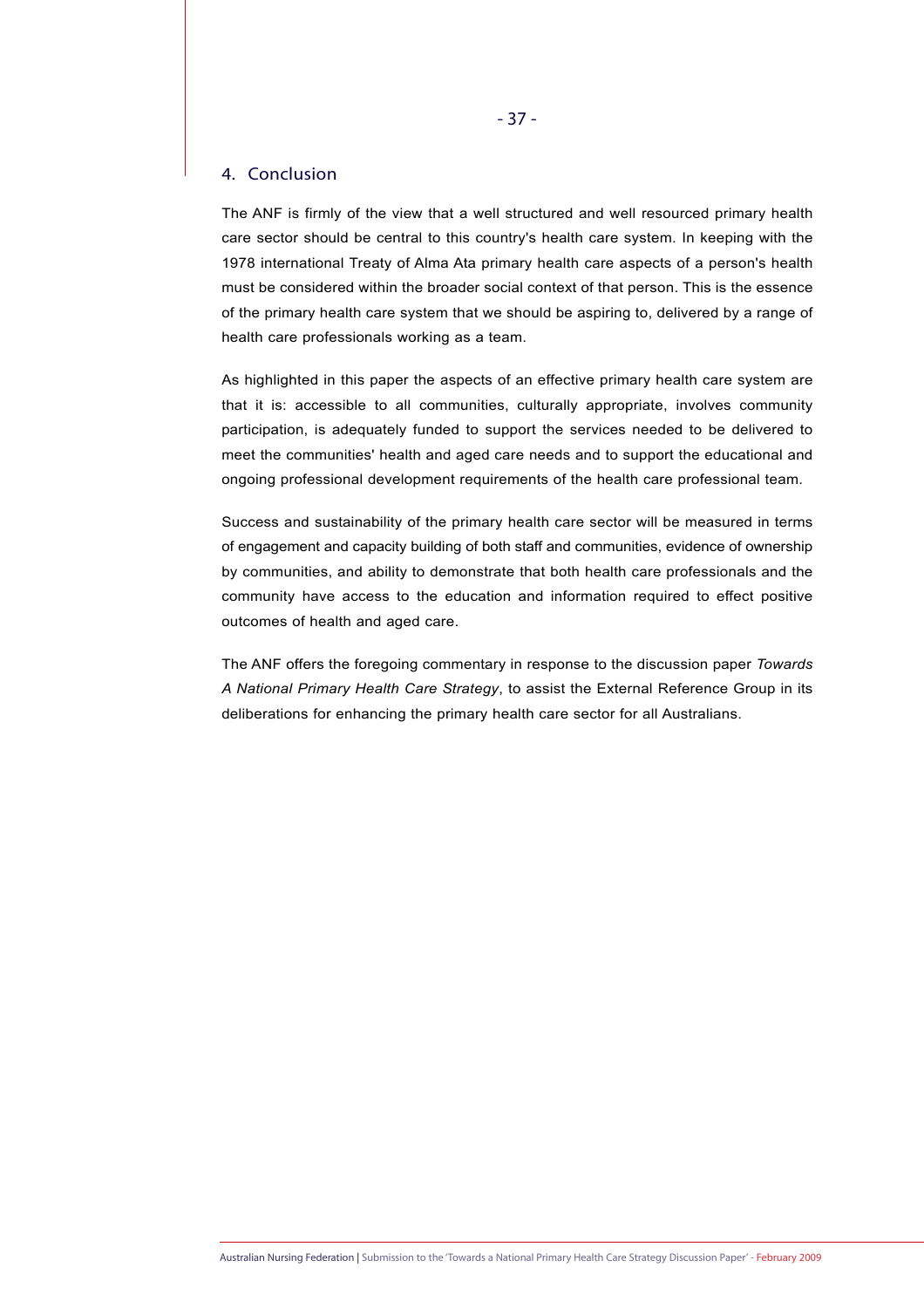# 4. Conclusion

The ANF is firmly of the view that a well structured and well resourced primary health care sector should be central to this country's health care system. In keeping with the 1978 international Treaty of Alma Ata primary health care aspects of a person's health must be considered within the broader social context of that person. This is the essence of the primary health care system that we should be aspiring to, delivered by a range of health care professionals working as a team.

As highlighted in this paper the aspects of an effective primary health care system are that it is: accessible to all communities, culturally appropriate, involves community participation, is adequately funded to support the services needed to be delivered to meet the communities' health and aged care needs and to support the educational and ongoing professional development requirements of the health care professional team.

Success and sustainability of the primary health care sector will be measured in terms of engagement and capacity building of both staff and communities, evidence of ownership by communities, and ability to demonstrate that both health care professionals and the community have access to the education and information required to effect positive outcomes of health and aged care.

The ANF offers the foregoing commentary in response to the discussion paper *Towards A National Primary Health Care Strategy*, to assist the External Reference Group in its deliberations for enhancing the primary health care sector for all Australians.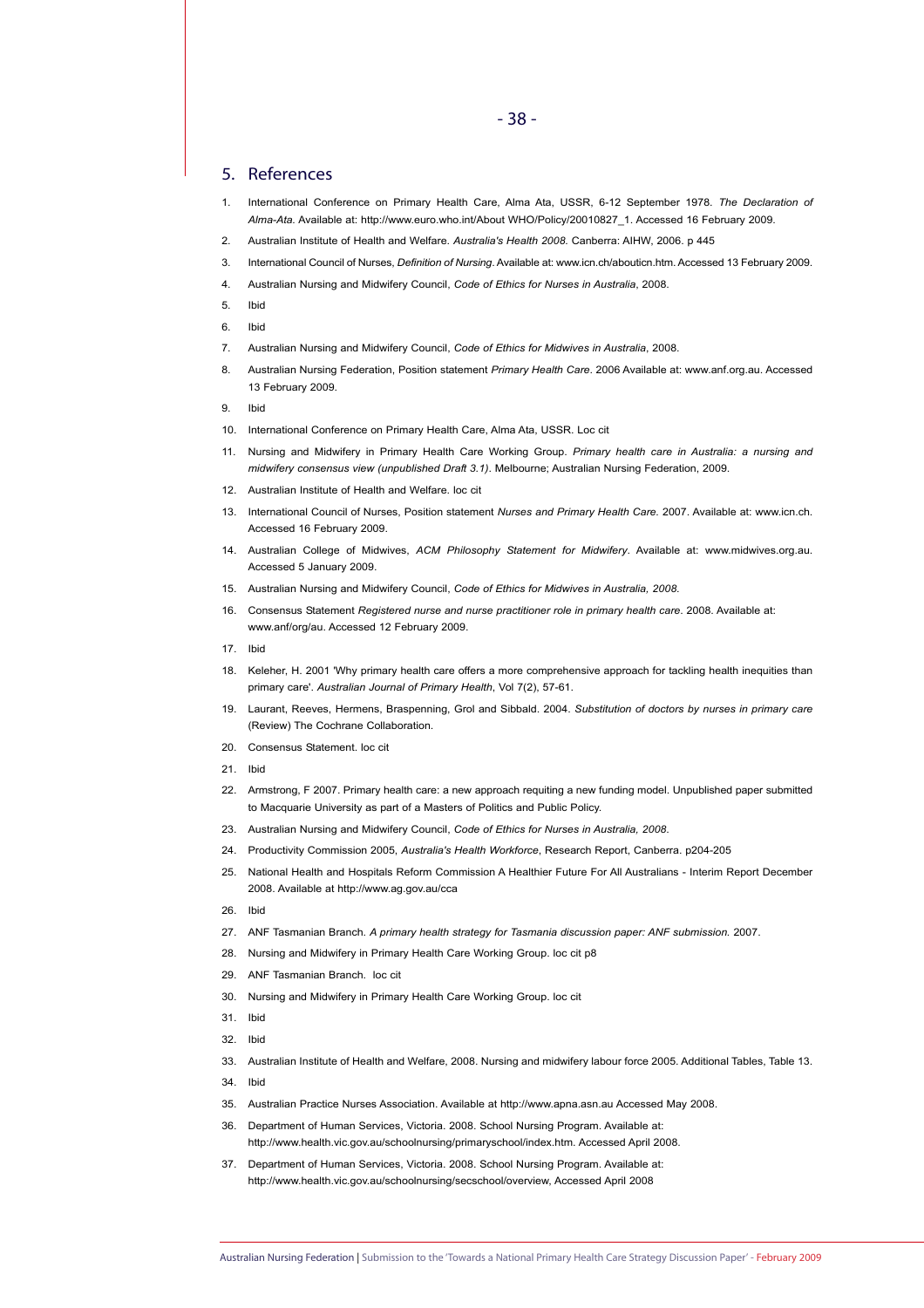#### 5. References

- 1. International Conference on Primary Health Care, Alma Ata, USSR, 6-12 September 1978. *The Declaration of Alma-Ata.* Available at: http://www.euro.who.int/About WHO/Policy/20010827\_1. Accessed 16 February 2009.
- 2. Australian Institute of Health and Welfare. *Australia's Health 2008.* Canberra: AIHW, 2006. p 445
- 3. International Council of Nurses, *Definition of Nursing*. Available at: www.icn.ch/abouticn.htm. Accessed 13 February 2009.
- 4. Australian Nursing and Midwifery Council, *Code of Ethics for Nurses in Australia*, 2008.
- 5. Ibid
- 6. Ibid
- 7. Australian Nursing and Midwifery Council, *Code of Ethics for Midwives in Australia*, 2008.
- 8. Australian Nursing Federation, Position statement *Primary Health Care*. 2006 Available at: www.anf.org.au. Accessed 13 February 2009.
- 9. Ibid
- 10. International Conference on Primary Health Care, Alma Ata, USSR. Loc cit
- 11. Nursing and Midwifery in Primary Health Care Working Group. *Primary health care in Australia: a nursing and midwifery consensus view (unpublished Draft 3.1)*. Melbourne; Australian Nursing Federation, 2009.
- 12. Australian Institute of Health and Welfare. loc cit
- 13. International Council of Nurses, Position statement *Nurses and Primary Health Care.* 2007. Available at: www.icn.ch. Accessed 16 February 2009.
- 14. Australian College of Midwives, *ACM Philosophy Statement for Midwifery*. Available at: www.midwives.org.au. Accessed 5 January 2009.
- 15. Australian Nursing and Midwifery Council, *Code of Ethics for Midwives in Australia, 2008*.
- 16. Consensus Statement *Registered nurse and nurse practitioner role in primary health care*. 2008. Available at: www.anf/org/au. Accessed 12 February 2009.
- 17. Ibid
- 18. Keleher, H. 2001 'Why primary health care offers a more comprehensive approach for tackling health inequities than primary care'. *Australian Journal of Primary Health*, Vol 7(2), 57-61.
- 19. Laurant, Reeves, Hermens, Braspenning, Grol and Sibbald. 2004. *Substitution of doctors by nurses in primary care*  (Review) The Cochrane Collaboration.
- 20. Consensus Statement. loc.cit
- 21. Ibid
- 22. Armstrong, F 2007. Primary health care: a new approach requiting a new funding model. Unpublished paper submitted to Macquarie University as part of a Masters of Politics and Public Policy.
- 23. Australian Nursing and Midwifery Council, *Code of Ethics for Nurses in Australia, 2008*.
- 24. Productivity Commission 2005, *Australia's Health Workforce*, Research Report, Canberra. p204-205
- 25. National Health and Hospitals Reform Commission A Healthier Future For All Australians Interim Report December 2008. Available at http://www.ag.gov.au/cca
- 26. Ibid
- 27. ANF Tasmanian Branch. *A primary health strategy for Tasmania discussion paper: ANF submission.* 2007.
- 28. Nursing and Midwifery in Primary Health Care Working Group. loc cit p8
- 29. ANF Tasmanian Branch. loc cit
- 30. Nursing and Midwifery in Primary Health Care Working Group. loc cit
- 31. Ibid
- 32. Ibid
- 33. Australian Institute of Health and Welfare, 2008. Nursing and midwifery labour force 2005. Additional Tables, Table 13.
- 34. Ibid
- 35. Australian Practice Nurses Association. Available at http://www.apna.asn.au Accessed May 2008.
- 36. Department of Human Services, Victoria. 2008. School Nursing Program. Available at: http://www.health.vic.gov.au/schoolnursing/primaryschool/index.htm. Accessed April 2008.
- 37. Department of Human Services, Victoria. 2008. School Nursing Program. Available at: http://www.health.vic.gov.au/schoolnursing/secschool/overview, Accessed April 2008